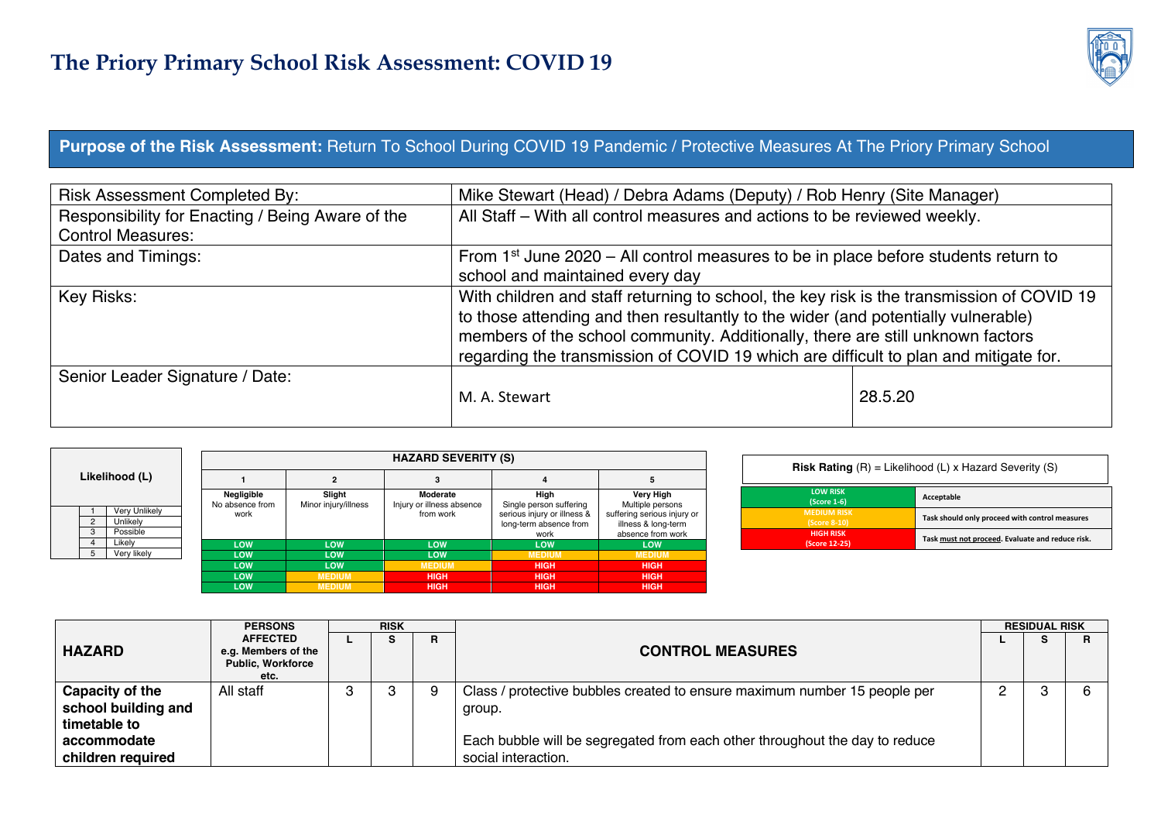

#### **Purpose of the Risk Assessment:** Return To School During COVID 19 Pandemic / Protective Measures At The Priory Primary School

| <b>Risk Assessment Completed By:</b>             | Mike Stewart (Head) / Debra Adams (Deputy) / Rob Henry (Site Manager)                                                                                                                                                                                                                                                                                    |         |
|--------------------------------------------------|----------------------------------------------------------------------------------------------------------------------------------------------------------------------------------------------------------------------------------------------------------------------------------------------------------------------------------------------------------|---------|
| Responsibility for Enacting / Being Aware of the | All Staff - With all control measures and actions to be reviewed weekly.                                                                                                                                                                                                                                                                                 |         |
| <b>Control Measures:</b>                         |                                                                                                                                                                                                                                                                                                                                                          |         |
| Dates and Timings:                               | From 1 <sup>st</sup> June 2020 – All control measures to be in place before students return to                                                                                                                                                                                                                                                           |         |
|                                                  | school and maintained every day                                                                                                                                                                                                                                                                                                                          |         |
| Key Risks:                                       | With children and staff returning to school, the key risk is the transmission of COVID 19<br>to those attending and then resultantly to the wider (and potentially vulnerable)<br>members of the school community. Additionally, there are still unknown factors<br>regarding the transmission of COVID 19 which are difficult to plan and mitigate for. |         |
| Senior Leader Signature / Date:                  | M. A. Stewart                                                                                                                                                                                                                                                                                                                                            | 28.5.20 |

|                     |                                       | <b>HAZARD SEVERITY (S)</b> |                      |                                        |                                                                                          |                                                                                             |  |  |  |  |  |  |  |  |
|---------------------|---------------------------------------|----------------------------|----------------------|----------------------------------------|------------------------------------------------------------------------------------------|---------------------------------------------------------------------------------------------|--|--|--|--|--|--|--|--|
|                     | Likelihood (L)                        |                            |                      |                                        |                                                                                          | 5                                                                                           |  |  |  |  |  |  |  |  |
|                     |                                       | Negligible                 | Slight               | Moderate                               | High                                                                                     | Very High                                                                                   |  |  |  |  |  |  |  |  |
| $\overline{2}$<br>3 | Very Unlikely<br>Unlikelv<br>Possible | No absence from<br>work    | Minor injury/illness | Injury or illness absence<br>from work | Single person suffering<br>serious injury or illness &<br>long-term absence from<br>work | Multiple persons<br>suffering serious injury or<br>illness & long-term<br>absence from work |  |  |  |  |  |  |  |  |
| 4                   | Likelv                                | LOW                        | <b>LOW</b>           | <b>LOW</b>                             | <b>LOW</b>                                                                               | LOW                                                                                         |  |  |  |  |  |  |  |  |
| 5                   | Very likely                           | <b>LOW</b>                 | <b>LOW</b>           | <b>LOW</b>                             | <b>MEDIUM</b>                                                                            | <b>MEDIUM</b>                                                                               |  |  |  |  |  |  |  |  |
|                     |                                       | <b>LOW</b>                 | <b>LOW</b>           | <b>MEDIUM</b>                          | <b>HIGH</b>                                                                              | <b>HIGH</b>                                                                                 |  |  |  |  |  |  |  |  |
|                     |                                       | LOW                        | <b>MEDIUM</b>        | <b>HIGH</b>                            | <b>HIGH</b>                                                                              | <b>HIGH</b>                                                                                 |  |  |  |  |  |  |  |  |
|                     |                                       | LOW                        | <b>MEDIUM</b>        | <b>HIGH</b>                            | <b>HIGH</b>                                                                              | <b>HIGH</b>                                                                                 |  |  |  |  |  |  |  |  |

| <b>Risk Rating</b> $(R) =$ Likelihood $(L)$ x Hazard Severity $(S)$ |                                                  |  |  |  |  |  |  |
|---------------------------------------------------------------------|--------------------------------------------------|--|--|--|--|--|--|
| <b>LOW RISK</b><br>(Score 1-6)                                      | Acceptable                                       |  |  |  |  |  |  |
| <b>MEDIUM RISK</b><br>(Score 8-10)                                  | Task should only proceed with control measures   |  |  |  |  |  |  |
| <b>HIGH RISK</b><br>(Score 12-25)                                   | Task must not proceed. Evaluate and reduce risk. |  |  |  |  |  |  |

|                     | <b>PERSONS</b>                                                             | <b>RISK</b> |  |   |                                                                             |  | <b>RESIDUAL RISK</b> |    |  |  |
|---------------------|----------------------------------------------------------------------------|-------------|--|---|-----------------------------------------------------------------------------|--|----------------------|----|--|--|
| <b>HAZARD</b>       | <b>AFFECTED</b><br>e.g. Members of the<br><b>Public, Workforce</b><br>etc. |             |  | R | <b>CONTROL MEASURES</b>                                                     |  | э                    | R. |  |  |
| Capacity of the     | All staff                                                                  |             |  |   | Class / protective bubbles created to ensure maximum number 15 people per   |  |                      |    |  |  |
| school building and |                                                                            |             |  |   | group.                                                                      |  |                      |    |  |  |
| timetable to        |                                                                            |             |  |   |                                                                             |  |                      |    |  |  |
| accommodate         |                                                                            |             |  |   | Each bubble will be segregated from each other throughout the day to reduce |  |                      |    |  |  |
| children required   |                                                                            |             |  |   | social interaction.                                                         |  |                      |    |  |  |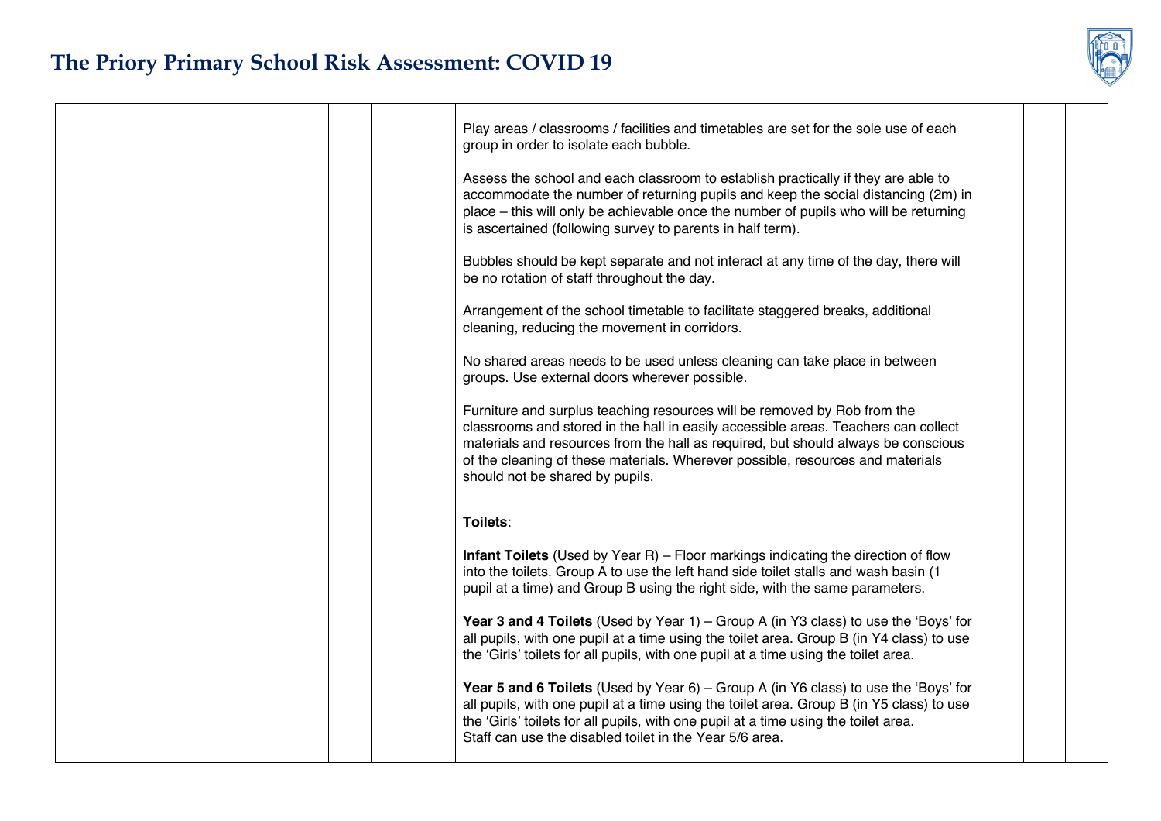| Play areas / classrooms / facilities and timetables are set for the sole use of each<br>group in order to isolate each bubble.                                                                                                                                                                                                                                           |  |
|--------------------------------------------------------------------------------------------------------------------------------------------------------------------------------------------------------------------------------------------------------------------------------------------------------------------------------------------------------------------------|--|
| Assess the school and each classroom to establish practically if they are able to<br>accommodate the number of returning pupils and keep the social distancing (2m) in<br>place - this will only be achievable once the number of pupils who will be returning<br>is ascertained (following survey to parents in half term).                                             |  |
| Bubbles should be kept separate and not interact at any time of the day, there will<br>be no rotation of staff throughout the day.                                                                                                                                                                                                                                       |  |
| Arrangement of the school timetable to facilitate staggered breaks, additional<br>cleaning, reducing the movement in corridors.                                                                                                                                                                                                                                          |  |
| No shared areas needs to be used unless cleaning can take place in between<br>groups. Use external doors wherever possible.                                                                                                                                                                                                                                              |  |
| Furniture and surplus teaching resources will be removed by Rob from the<br>classrooms and stored in the hall in easily accessible areas. Teachers can collect<br>materials and resources from the hall as required, but should always be conscious<br>of the cleaning of these materials. Wherever possible, resources and materials<br>should not be shared by pupils. |  |
| Toilets:                                                                                                                                                                                                                                                                                                                                                                 |  |
| <b>Infant Toilets</b> (Used by Year R) – Floor markings indicating the direction of flow<br>into the toilets. Group A to use the left hand side toilet stalls and wash basin (1<br>pupil at a time) and Group B using the right side, with the same parameters.                                                                                                          |  |
| Year 3 and 4 Toilets (Used by Year 1) - Group A (in Y3 class) to use the 'Boys' for<br>all pupils, with one pupil at a time using the toilet area. Group B (in Y4 class) to use<br>the 'Girls' toilets for all pupils, with one pupil at a time using the toilet area.                                                                                                   |  |
| Year 5 and 6 Toilets (Used by Year 6) – Group A (in Y6 class) to use the 'Boys' for<br>all pupils, with one pupil at a time using the toilet area. Group B (in Y5 class) to use<br>the 'Girls' toilets for all pupils, with one pupil at a time using the toilet area.<br>Staff can use the disabled toilet in the Year 5/6 area.                                        |  |
|                                                                                                                                                                                                                                                                                                                                                                          |  |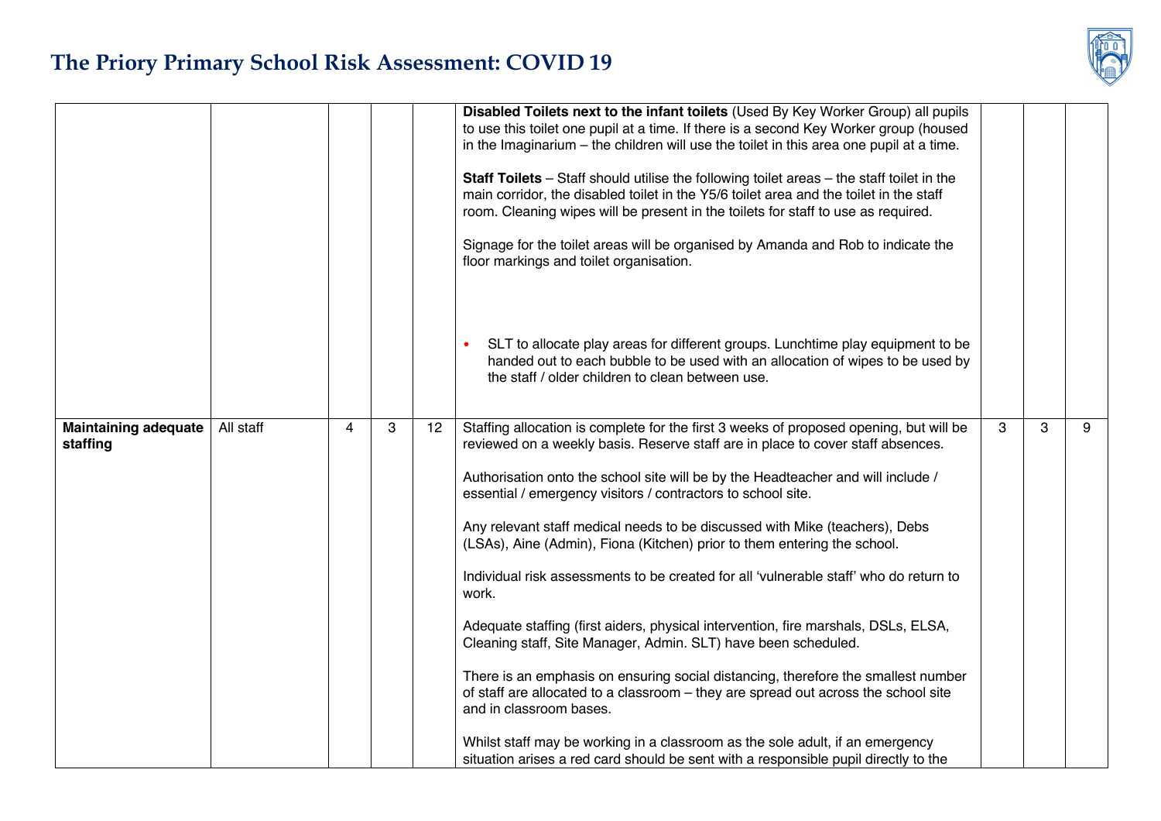

|                                         |           |   |   |    | Disabled Toilets next to the infant toilets (Used By Key Worker Group) all pupils<br>to use this toilet one pupil at a time. If there is a second Key Worker group (housed<br>in the Imaginarium $-$ the children will use the toilet in this area one pupil at a time.<br>Staff Toilets - Staff should utilise the following toilet areas - the staff toilet in the<br>main corridor, the disabled toilet in the Y5/6 toilet area and the toilet in the staff<br>room. Cleaning wipes will be present in the toilets for staff to use as required.<br>Signage for the toilet areas will be organised by Amanda and Rob to indicate the<br>floor markings and toilet organisation.                                                                                                                                                                                                                                                                                                                                                                                                                                               |   |   |   |
|-----------------------------------------|-----------|---|---|----|----------------------------------------------------------------------------------------------------------------------------------------------------------------------------------------------------------------------------------------------------------------------------------------------------------------------------------------------------------------------------------------------------------------------------------------------------------------------------------------------------------------------------------------------------------------------------------------------------------------------------------------------------------------------------------------------------------------------------------------------------------------------------------------------------------------------------------------------------------------------------------------------------------------------------------------------------------------------------------------------------------------------------------------------------------------------------------------------------------------------------------|---|---|---|
|                                         |           |   |   |    | SLT to allocate play areas for different groups. Lunchtime play equipment to be<br>handed out to each bubble to be used with an allocation of wipes to be used by<br>the staff / older children to clean between use.                                                                                                                                                                                                                                                                                                                                                                                                                                                                                                                                                                                                                                                                                                                                                                                                                                                                                                            |   |   |   |
| <b>Maintaining adequate</b><br>staffing | All staff | 4 | 3 | 12 | Staffing allocation is complete for the first 3 weeks of proposed opening, but will be<br>reviewed on a weekly basis. Reserve staff are in place to cover staff absences.<br>Authorisation onto the school site will be by the Headteacher and will include /<br>essential / emergency visitors / contractors to school site.<br>Any relevant staff medical needs to be discussed with Mike (teachers), Debs<br>(LSAs), Aine (Admin), Fiona (Kitchen) prior to them entering the school.<br>Individual risk assessments to be created for all 'vulnerable staff' who do return to<br>work.<br>Adequate staffing (first aiders, physical intervention, fire marshals, DSLs, ELSA,<br>Cleaning staff, Site Manager, Admin. SLT) have been scheduled.<br>There is an emphasis on ensuring social distancing, therefore the smallest number<br>of staff are allocated to a classroom – they are spread out across the school site<br>and in classroom bases.<br>Whilst staff may be working in a classroom as the sole adult, if an emergency<br>situation arises a red card should be sent with a responsible pupil directly to the | 3 | 3 | 9 |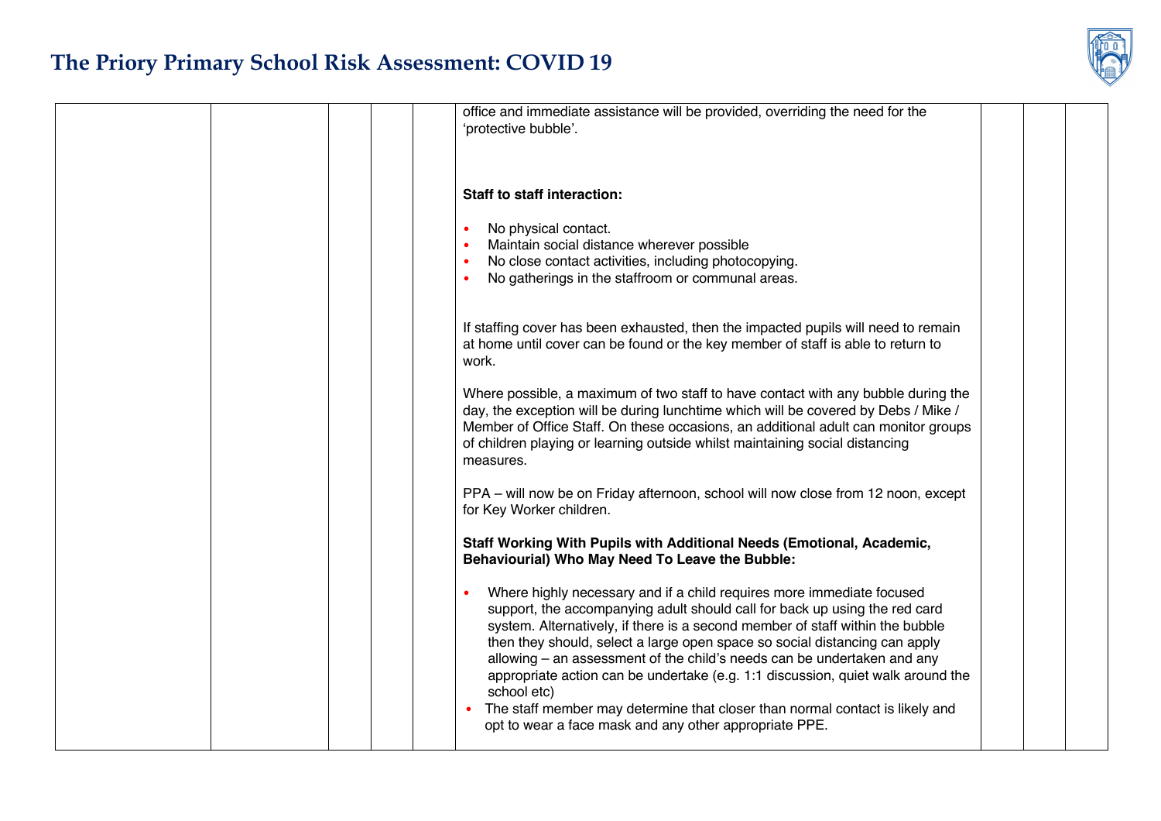|  |  | office and immediate assistance will be provided, overriding the need for the<br>'protective bubble'.                                                                                                                                                                                                                                                                                                                                                                                                                                                                                                                                     |  |  |
|--|--|-------------------------------------------------------------------------------------------------------------------------------------------------------------------------------------------------------------------------------------------------------------------------------------------------------------------------------------------------------------------------------------------------------------------------------------------------------------------------------------------------------------------------------------------------------------------------------------------------------------------------------------------|--|--|
|  |  | <b>Staff to staff interaction:</b><br>No physical contact.<br>Maintain social distance wherever possible                                                                                                                                                                                                                                                                                                                                                                                                                                                                                                                                  |  |  |
|  |  | No close contact activities, including photocopying.<br>No gatherings in the staffroom or communal areas.                                                                                                                                                                                                                                                                                                                                                                                                                                                                                                                                 |  |  |
|  |  | If staffing cover has been exhausted, then the impacted pupils will need to remain<br>at home until cover can be found or the key member of staff is able to return to<br>work.                                                                                                                                                                                                                                                                                                                                                                                                                                                           |  |  |
|  |  | Where possible, a maximum of two staff to have contact with any bubble during the<br>day, the exception will be during lunchtime which will be covered by Debs / Mike /<br>Member of Office Staff. On these occasions, an additional adult can monitor groups<br>of children playing or learning outside whilst maintaining social distancing<br>measures.                                                                                                                                                                                                                                                                                |  |  |
|  |  | PPA - will now be on Friday afternoon, school will now close from 12 noon, except<br>for Key Worker children.                                                                                                                                                                                                                                                                                                                                                                                                                                                                                                                             |  |  |
|  |  | Staff Working With Pupils with Additional Needs (Emotional, Academic,<br>Behaviourial) Who May Need To Leave the Bubble:                                                                                                                                                                                                                                                                                                                                                                                                                                                                                                                  |  |  |
|  |  | Where highly necessary and if a child requires more immediate focused<br>support, the accompanying adult should call for back up using the red card<br>system. Alternatively, if there is a second member of staff within the bubble<br>then they should, select a large open space so social distancing can apply<br>allowing – an assessment of the child's needs can be undertaken and any<br>appropriate action can be undertake (e.g. 1:1 discussion, quiet walk around the<br>school etc)<br>The staff member may determine that closer than normal contact is likely and<br>opt to wear a face mask and any other appropriate PPE. |  |  |
|  |  |                                                                                                                                                                                                                                                                                                                                                                                                                                                                                                                                                                                                                                           |  |  |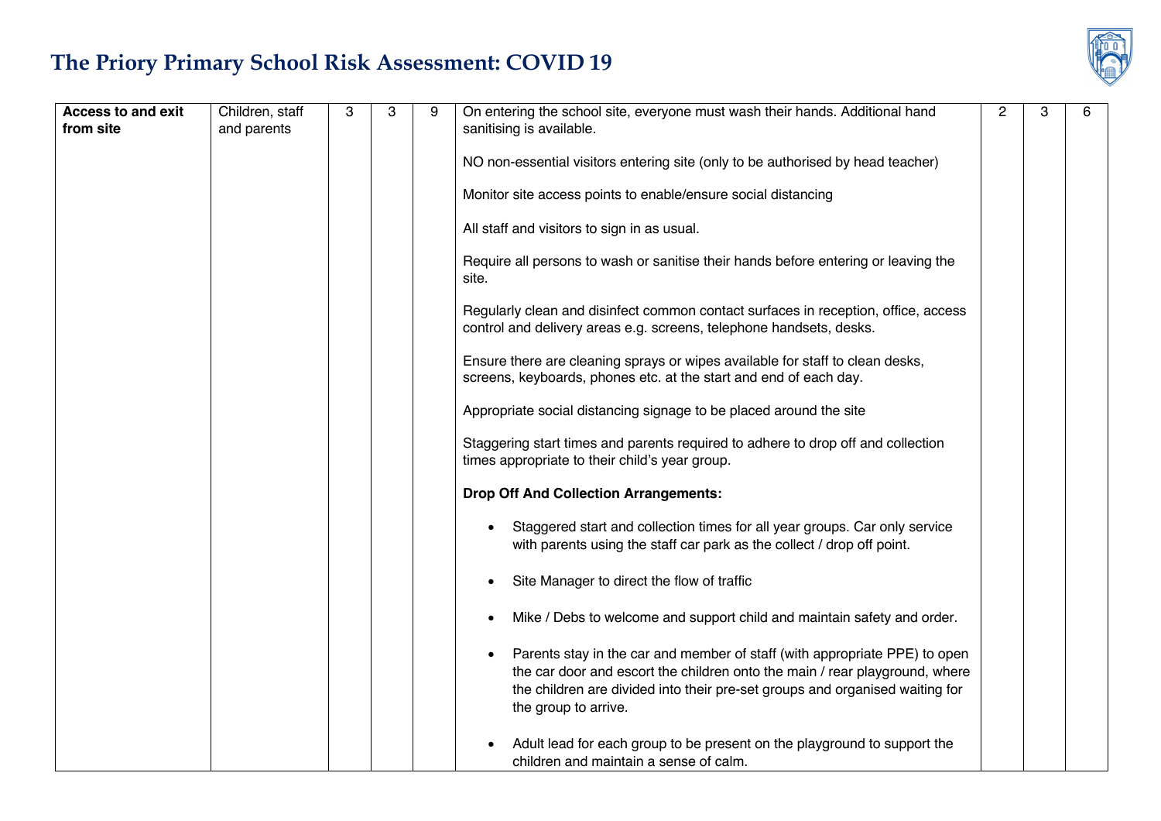| <b>Access to and exit</b><br>from site | Children, staff<br>and parents | 3 | 3 | 9 | On entering the school site, everyone must wash their hands. Additional hand<br>sanitising is available.                                                                                                                                                          | $\overline{2}$ | 3 | 6 |
|----------------------------------------|--------------------------------|---|---|---|-------------------------------------------------------------------------------------------------------------------------------------------------------------------------------------------------------------------------------------------------------------------|----------------|---|---|
|                                        |                                |   |   |   |                                                                                                                                                                                                                                                                   |                |   |   |
|                                        |                                |   |   |   | NO non-essential visitors entering site (only to be authorised by head teacher)                                                                                                                                                                                   |                |   |   |
|                                        |                                |   |   |   | Monitor site access points to enable/ensure social distancing                                                                                                                                                                                                     |                |   |   |
|                                        |                                |   |   |   | All staff and visitors to sign in as usual.                                                                                                                                                                                                                       |                |   |   |
|                                        |                                |   |   |   | Require all persons to wash or sanitise their hands before entering or leaving the<br>site.                                                                                                                                                                       |                |   |   |
|                                        |                                |   |   |   | Regularly clean and disinfect common contact surfaces in reception, office, access<br>control and delivery areas e.g. screens, telephone handsets, desks.                                                                                                         |                |   |   |
|                                        |                                |   |   |   | Ensure there are cleaning sprays or wipes available for staff to clean desks,<br>screens, keyboards, phones etc. at the start and end of each day.                                                                                                                |                |   |   |
|                                        |                                |   |   |   | Appropriate social distancing signage to be placed around the site                                                                                                                                                                                                |                |   |   |
|                                        |                                |   |   |   | Staggering start times and parents required to adhere to drop off and collection<br>times appropriate to their child's year group.                                                                                                                                |                |   |   |
|                                        |                                |   |   |   | <b>Drop Off And Collection Arrangements:</b>                                                                                                                                                                                                                      |                |   |   |
|                                        |                                |   |   |   | Staggered start and collection times for all year groups. Car only service<br>with parents using the staff car park as the collect / drop off point.                                                                                                              |                |   |   |
|                                        |                                |   |   |   | Site Manager to direct the flow of traffic                                                                                                                                                                                                                        |                |   |   |
|                                        |                                |   |   |   | Mike / Debs to welcome and support child and maintain safety and order.                                                                                                                                                                                           |                |   |   |
|                                        |                                |   |   |   | Parents stay in the car and member of staff (with appropriate PPE) to open<br>the car door and escort the children onto the main / rear playground, where<br>the children are divided into their pre-set groups and organised waiting for<br>the group to arrive. |                |   |   |
|                                        |                                |   |   |   | Adult lead for each group to be present on the playground to support the<br>children and maintain a sense of calm.                                                                                                                                                |                |   |   |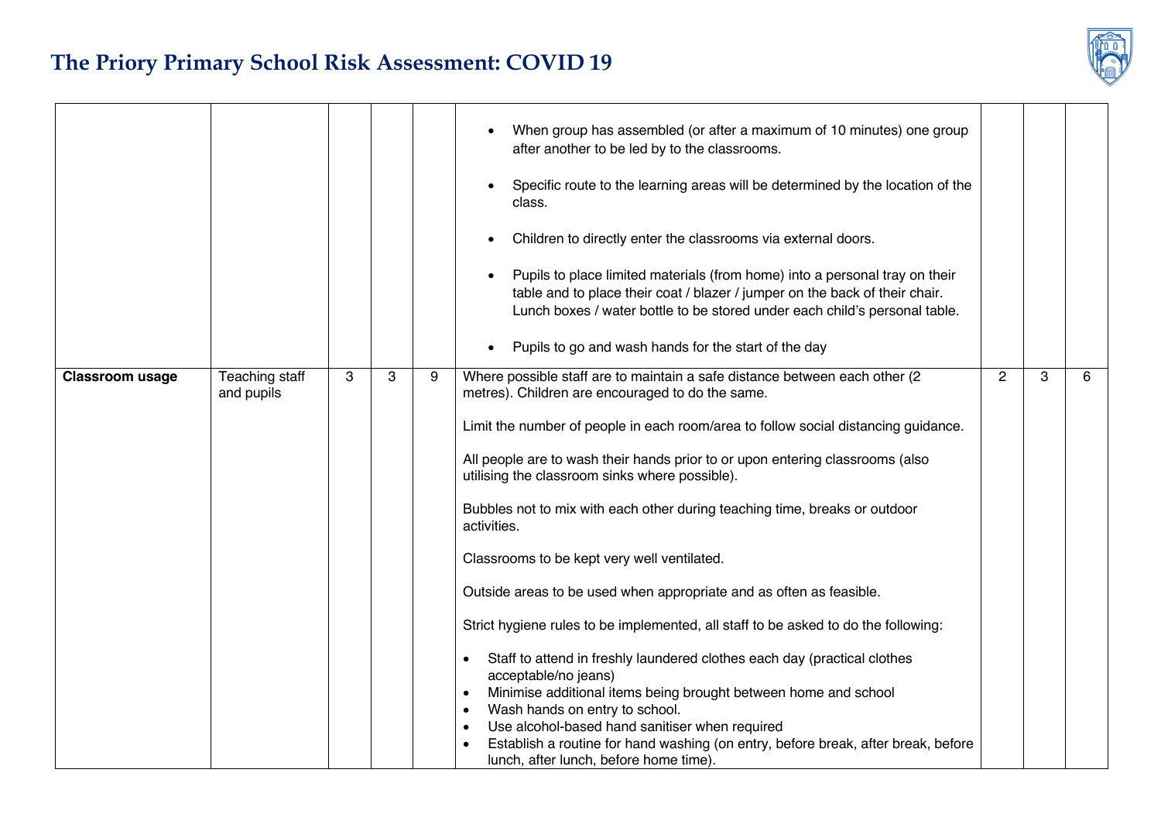

|                        |                              |   |   |   | When group has assembled (or after a maximum of 10 minutes) one group<br>after another to be led by to the classrooms.<br>Specific route to the learning areas will be determined by the location of the<br>$\bullet$<br>class.<br>Children to directly enter the classrooms via external doors.<br>٠<br>Pupils to place limited materials (from home) into a personal tray on their<br>$\bullet$<br>table and to place their coat / blazer / jumper on the back of their chair.<br>Lunch boxes / water bottle to be stored under each child's personal table.<br>Pupils to go and wash hands for the start of the day<br>$\bullet$                                                                                                                                                                                                                                                                                                                                                                                                                                     |                |   |   |
|------------------------|------------------------------|---|---|---|-------------------------------------------------------------------------------------------------------------------------------------------------------------------------------------------------------------------------------------------------------------------------------------------------------------------------------------------------------------------------------------------------------------------------------------------------------------------------------------------------------------------------------------------------------------------------------------------------------------------------------------------------------------------------------------------------------------------------------------------------------------------------------------------------------------------------------------------------------------------------------------------------------------------------------------------------------------------------------------------------------------------------------------------------------------------------|----------------|---|---|
| <b>Classroom usage</b> | Teaching staff<br>and pupils | 3 | 3 | 9 | Where possible staff are to maintain a safe distance between each other (2<br>metres). Children are encouraged to do the same.<br>Limit the number of people in each room/area to follow social distancing guidance.<br>All people are to wash their hands prior to or upon entering classrooms (also<br>utilising the classroom sinks where possible).<br>Bubbles not to mix with each other during teaching time, breaks or outdoor<br>activities.<br>Classrooms to be kept very well ventilated.<br>Outside areas to be used when appropriate and as often as feasible.<br>Strict hygiene rules to be implemented, all staff to be asked to do the following:<br>Staff to attend in freshly laundered clothes each day (practical clothes<br>acceptable/no jeans)<br>Minimise additional items being brought between home and school<br>$\bullet$<br>Wash hands on entry to school.<br>Use alcohol-based hand sanitiser when required<br>Establish a routine for hand washing (on entry, before break, after break, before<br>lunch, after lunch, before home time). | $\overline{2}$ | 3 | 6 |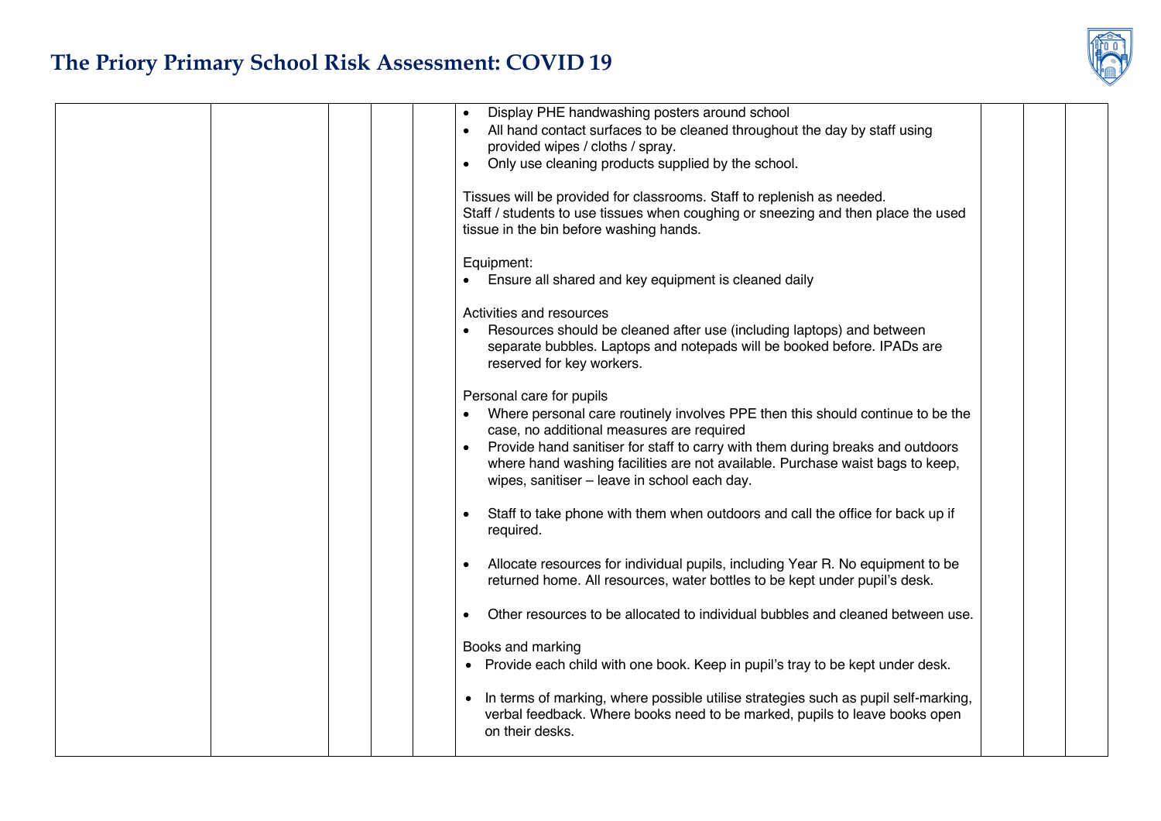

|  |  | Display PHE handwashing posters around school                                               |  |  |
|--|--|---------------------------------------------------------------------------------------------|--|--|
|  |  | All hand contact surfaces to be cleaned throughout the day by staff using<br>$\bullet$      |  |  |
|  |  | provided wipes / cloths / spray.                                                            |  |  |
|  |  | Only use cleaning products supplied by the school.<br>$\bullet$                             |  |  |
|  |  |                                                                                             |  |  |
|  |  | Tissues will be provided for classrooms. Staff to replenish as needed.                      |  |  |
|  |  | Staff / students to use tissues when coughing or sneezing and then place the used           |  |  |
|  |  | tissue in the bin before washing hands.                                                     |  |  |
|  |  |                                                                                             |  |  |
|  |  | Equipment:                                                                                  |  |  |
|  |  | Ensure all shared and key equipment is cleaned daily                                        |  |  |
|  |  |                                                                                             |  |  |
|  |  | Activities and resources                                                                    |  |  |
|  |  | Resources should be cleaned after use (including laptops) and between                       |  |  |
|  |  | separate bubbles. Laptops and notepads will be booked before. IPADs are                     |  |  |
|  |  | reserved for key workers.                                                                   |  |  |
|  |  |                                                                                             |  |  |
|  |  | Personal care for pupils                                                                    |  |  |
|  |  | Where personal care routinely involves PPE then this should continue to be the              |  |  |
|  |  | case, no additional measures are required                                                   |  |  |
|  |  |                                                                                             |  |  |
|  |  | Provide hand sanitiser for staff to carry with them during breaks and outdoors              |  |  |
|  |  | where hand washing facilities are not available. Purchase waist bags to keep,               |  |  |
|  |  | wipes, sanitiser - leave in school each day.                                                |  |  |
|  |  |                                                                                             |  |  |
|  |  | Staff to take phone with them when outdoors and call the office for back up if<br>$\bullet$ |  |  |
|  |  | required.                                                                                   |  |  |
|  |  |                                                                                             |  |  |
|  |  | Allocate resources for individual pupils, including Year R. No equipment to be              |  |  |
|  |  | returned home. All resources, water bottles to be kept under pupil's desk.                  |  |  |
|  |  |                                                                                             |  |  |
|  |  | Other resources to be allocated to individual bubbles and cleaned between use.<br>$\bullet$ |  |  |
|  |  |                                                                                             |  |  |
|  |  | Books and marking                                                                           |  |  |
|  |  | • Provide each child with one book. Keep in pupil's tray to be kept under desk.             |  |  |
|  |  |                                                                                             |  |  |
|  |  | • In terms of marking, where possible utilise strategies such as pupil self-marking,        |  |  |
|  |  | verbal feedback. Where books need to be marked, pupils to leave books open                  |  |  |
|  |  | on their desks.                                                                             |  |  |
|  |  |                                                                                             |  |  |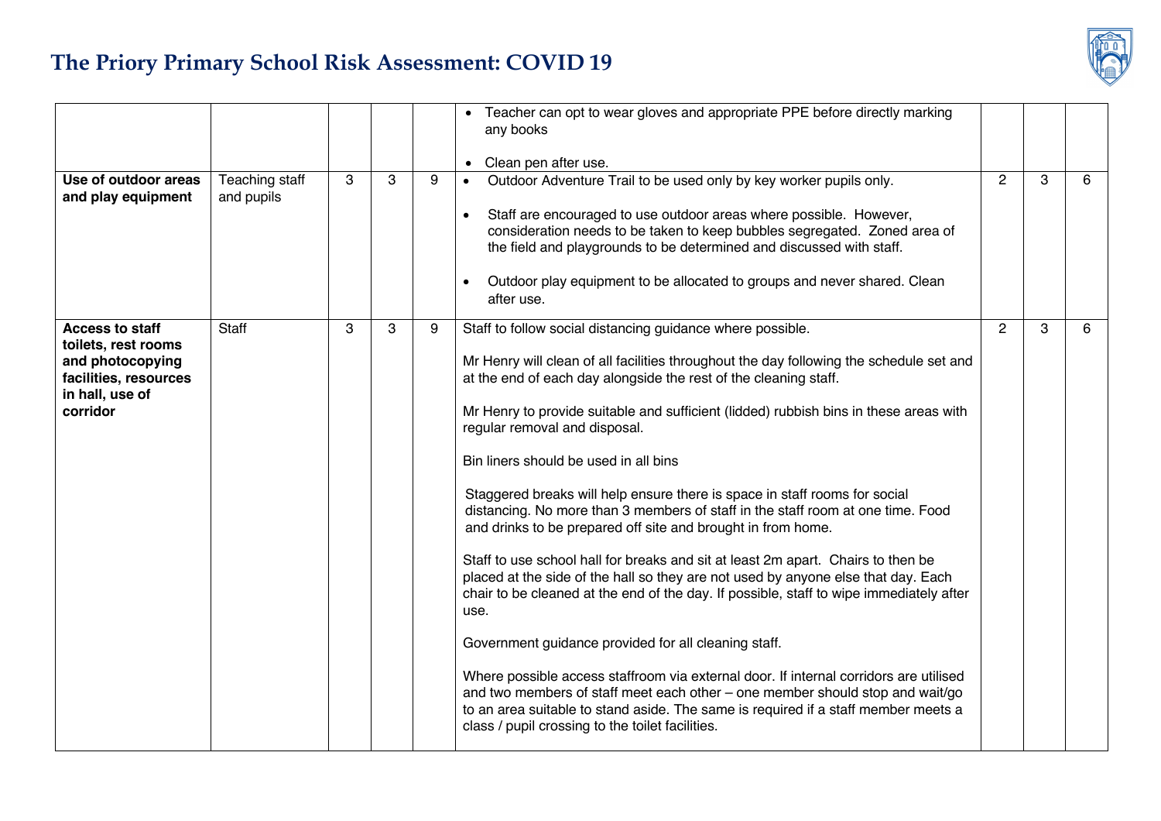

|                                                                                                                           |                              |   |              |   | • Teacher can opt to wear gloves and appropriate PPE before directly marking<br>any books<br>Clean pen after use.<br>$\bullet$                                                                                                                                                                                                                                                                                                                                                                                                                                                                                                                                                                                                                                                                                                                                                                                                                                                                                                                                                                                                                                                                                                                                                        |                |   |   |
|---------------------------------------------------------------------------------------------------------------------------|------------------------------|---|--------------|---|---------------------------------------------------------------------------------------------------------------------------------------------------------------------------------------------------------------------------------------------------------------------------------------------------------------------------------------------------------------------------------------------------------------------------------------------------------------------------------------------------------------------------------------------------------------------------------------------------------------------------------------------------------------------------------------------------------------------------------------------------------------------------------------------------------------------------------------------------------------------------------------------------------------------------------------------------------------------------------------------------------------------------------------------------------------------------------------------------------------------------------------------------------------------------------------------------------------------------------------------------------------------------------------|----------------|---|---|
| Use of outdoor areas<br>and play equipment                                                                                | Teaching staff<br>and pupils | 3 | $\mathbf{3}$ | 9 | Outdoor Adventure Trail to be used only by key worker pupils only.<br>$\bullet$<br>Staff are encouraged to use outdoor areas where possible. However,<br>$\bullet$<br>consideration needs to be taken to keep bubbles segregated. Zoned area of<br>the field and playgrounds to be determined and discussed with staff.<br>Outdoor play equipment to be allocated to groups and never shared. Clean<br>after use.                                                                                                                                                                                                                                                                                                                                                                                                                                                                                                                                                                                                                                                                                                                                                                                                                                                                     | $\overline{2}$ | 3 | 6 |
| <b>Access to staff</b><br>toilets, rest rooms<br>and photocopying<br>facilities, resources<br>in hall, use of<br>corridor | Staff                        | 3 | 3            | 9 | Staff to follow social distancing guidance where possible.<br>Mr Henry will clean of all facilities throughout the day following the schedule set and<br>at the end of each day alongside the rest of the cleaning staff.<br>Mr Henry to provide suitable and sufficient (lidded) rubbish bins in these areas with<br>regular removal and disposal.<br>Bin liners should be used in all bins<br>Staggered breaks will help ensure there is space in staff rooms for social<br>distancing. No more than 3 members of staff in the staff room at one time. Food<br>and drinks to be prepared off site and brought in from home.<br>Staff to use school hall for breaks and sit at least 2m apart. Chairs to then be<br>placed at the side of the hall so they are not used by anyone else that day. Each<br>chair to be cleaned at the end of the day. If possible, staff to wipe immediately after<br>use.<br>Government guidance provided for all cleaning staff.<br>Where possible access staffroom via external door. If internal corridors are utilised<br>and two members of staff meet each other – one member should stop and wait/go<br>to an area suitable to stand aside. The same is required if a staff member meets a<br>class / pupil crossing to the toilet facilities. | $\overline{2}$ | 3 | 6 |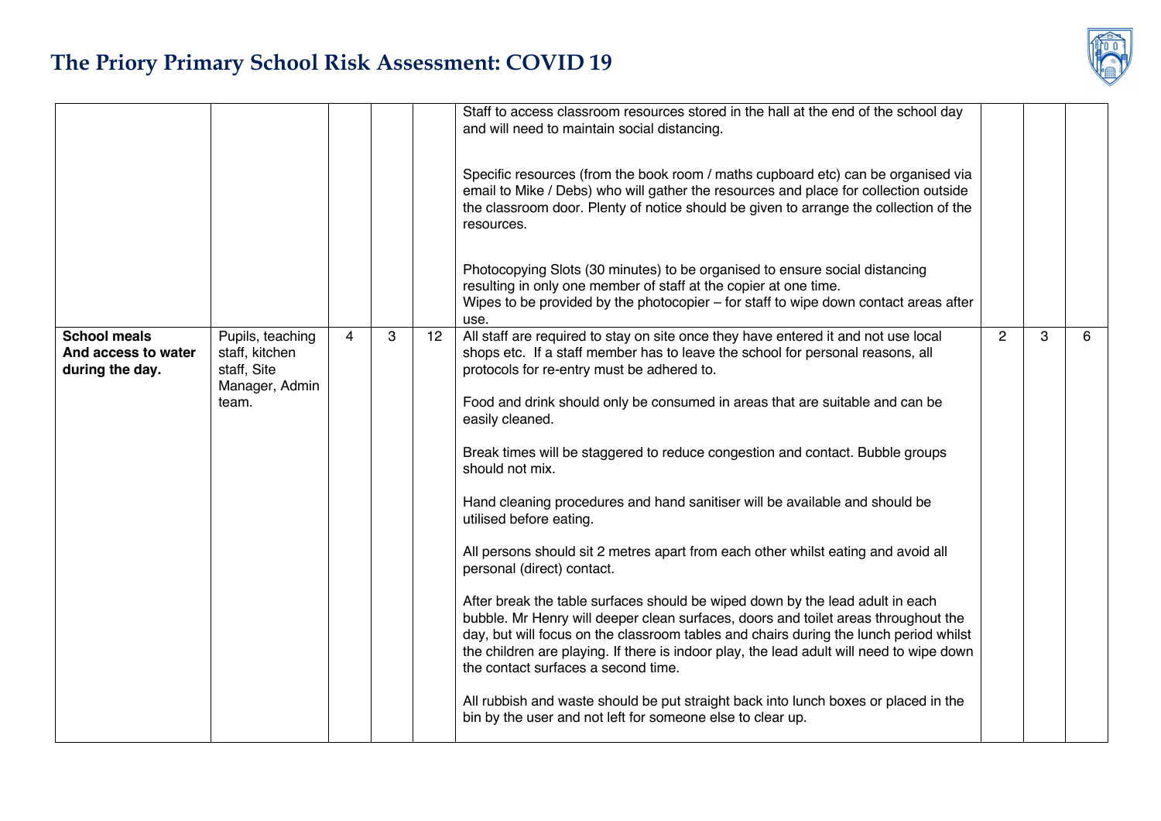|                                                               |                                                                     |   |   |                                                                                                 | Staff to access classroom resources stored in the hall at the end of the school day<br>and will need to maintain social distancing.                                                                                                                                                                                                                                                             |                |   |   |
|---------------------------------------------------------------|---------------------------------------------------------------------|---|---|-------------------------------------------------------------------------------------------------|-------------------------------------------------------------------------------------------------------------------------------------------------------------------------------------------------------------------------------------------------------------------------------------------------------------------------------------------------------------------------------------------------|----------------|---|---|
|                                                               |                                                                     |   |   |                                                                                                 | Specific resources (from the book room / maths cupboard etc) can be organised via<br>email to Mike / Debs) who will gather the resources and place for collection outside<br>the classroom door. Plenty of notice should be given to arrange the collection of the<br>resources.                                                                                                                |                |   |   |
|                                                               |                                                                     |   |   |                                                                                                 | Photocopying Slots (30 minutes) to be organised to ensure social distancing<br>resulting in only one member of staff at the copier at one time.<br>Wipes to be provided by the photocopier $-$ for staff to wipe down contact areas after<br>use.                                                                                                                                               |                |   |   |
| <b>School meals</b><br>And access to water<br>during the day. | Pupils, teaching<br>staff, kitchen<br>staff, Site<br>Manager, Admin | 4 | 3 | 12                                                                                              | All staff are required to stay on site once they have entered it and not use local<br>shops etc. If a staff member has to leave the school for personal reasons, all<br>protocols for re-entry must be adhered to.                                                                                                                                                                              | $\overline{2}$ | 3 | 6 |
|                                                               | team.                                                               |   |   | Food and drink should only be consumed in areas that are suitable and can be<br>easily cleaned. |                                                                                                                                                                                                                                                                                                                                                                                                 |                |   |   |
|                                                               |                                                                     |   |   |                                                                                                 | Break times will be staggered to reduce congestion and contact. Bubble groups<br>should not mix.                                                                                                                                                                                                                                                                                                |                |   |   |
|                                                               |                                                                     |   |   |                                                                                                 | Hand cleaning procedures and hand sanitiser will be available and should be<br>utilised before eating.                                                                                                                                                                                                                                                                                          |                |   |   |
|                                                               |                                                                     |   |   |                                                                                                 | All persons should sit 2 metres apart from each other whilst eating and avoid all<br>personal (direct) contact.                                                                                                                                                                                                                                                                                 |                |   |   |
|                                                               |                                                                     |   |   |                                                                                                 | After break the table surfaces should be wiped down by the lead adult in each<br>bubble. Mr Henry will deeper clean surfaces, doors and toilet areas throughout the<br>day, but will focus on the classroom tables and chairs during the lunch period whilst<br>the children are playing. If there is indoor play, the lead adult will need to wipe down<br>the contact surfaces a second time. |                |   |   |
|                                                               |                                                                     |   |   |                                                                                                 | All rubbish and waste should be put straight back into lunch boxes or placed in the<br>bin by the user and not left for someone else to clear up.                                                                                                                                                                                                                                               |                |   |   |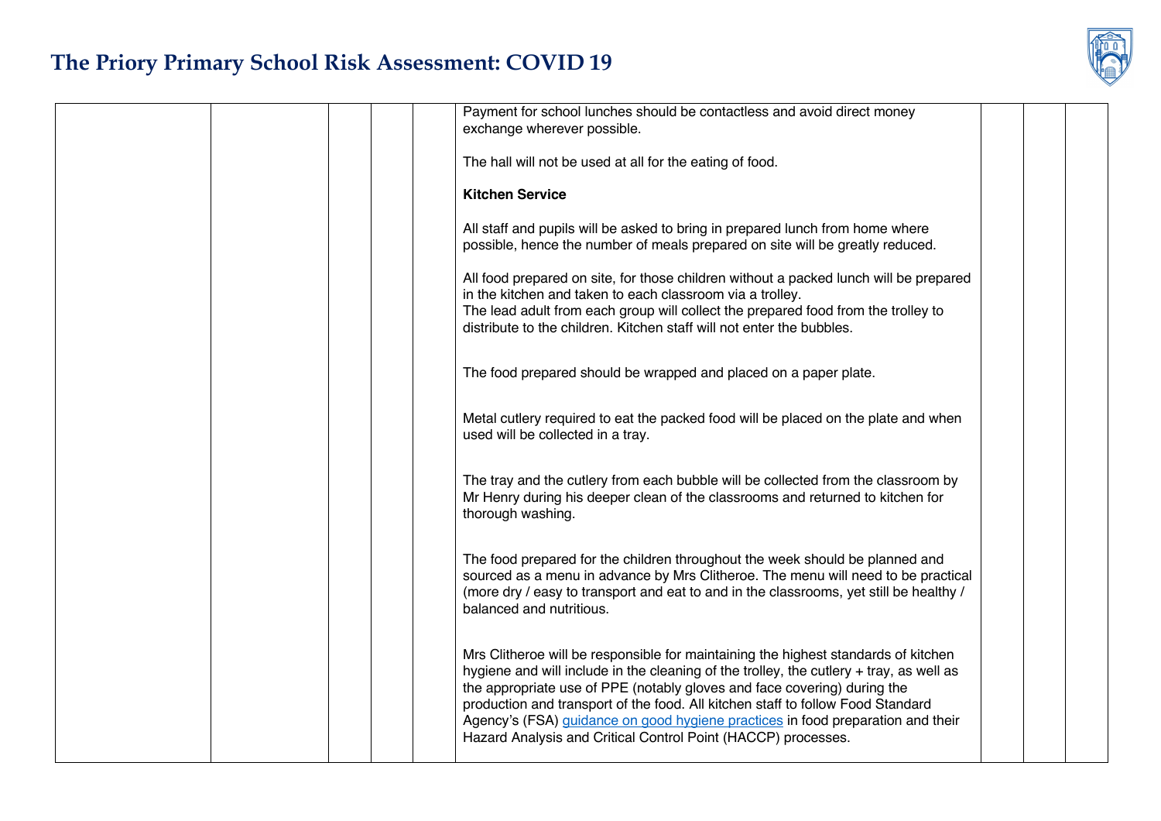|  | Payment for school lunches should be contactless and avoid direct money<br>exchange wherever possible.                                                                                                                                                                                                                                                                                                                                                                                           |  |
|--|--------------------------------------------------------------------------------------------------------------------------------------------------------------------------------------------------------------------------------------------------------------------------------------------------------------------------------------------------------------------------------------------------------------------------------------------------------------------------------------------------|--|
|  | The hall will not be used at all for the eating of food.                                                                                                                                                                                                                                                                                                                                                                                                                                         |  |
|  | <b>Kitchen Service</b>                                                                                                                                                                                                                                                                                                                                                                                                                                                                           |  |
|  | All staff and pupils will be asked to bring in prepared lunch from home where<br>possible, hence the number of meals prepared on site will be greatly reduced.                                                                                                                                                                                                                                                                                                                                   |  |
|  | All food prepared on site, for those children without a packed lunch will be prepared<br>in the kitchen and taken to each classroom via a trolley.<br>The lead adult from each group will collect the prepared food from the trolley to<br>distribute to the children. Kitchen staff will not enter the bubbles.                                                                                                                                                                                 |  |
|  | The food prepared should be wrapped and placed on a paper plate.                                                                                                                                                                                                                                                                                                                                                                                                                                 |  |
|  | Metal cutlery required to eat the packed food will be placed on the plate and when<br>used will be collected in a tray.                                                                                                                                                                                                                                                                                                                                                                          |  |
|  | The tray and the cutlery from each bubble will be collected from the classroom by<br>Mr Henry during his deeper clean of the classrooms and returned to kitchen for<br>thorough washing.                                                                                                                                                                                                                                                                                                         |  |
|  | The food prepared for the children throughout the week should be planned and<br>sourced as a menu in advance by Mrs Clitheroe. The menu will need to be practical<br>(more dry / easy to transport and eat to and in the classrooms, yet still be healthy /<br>balanced and nutritious.                                                                                                                                                                                                          |  |
|  | Mrs Clitheroe will be responsible for maintaining the highest standards of kitchen<br>hygiene and will include in the cleaning of the trolley, the cutlery + tray, as well as<br>the appropriate use of PPE (notably gloves and face covering) during the<br>production and transport of the food. All kitchen staff to follow Food Standard<br>Agency's (FSA) guidance on good hygiene practices in food preparation and their<br>Hazard Analysis and Critical Control Point (HACCP) processes. |  |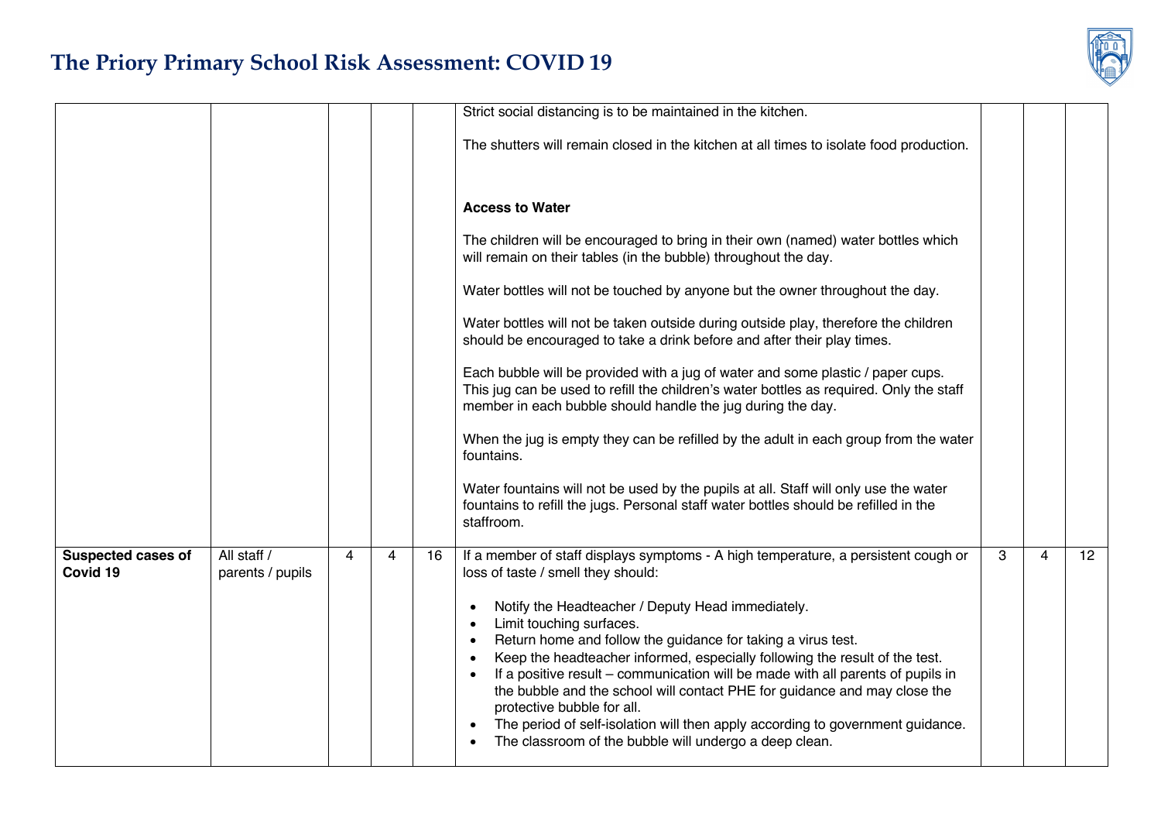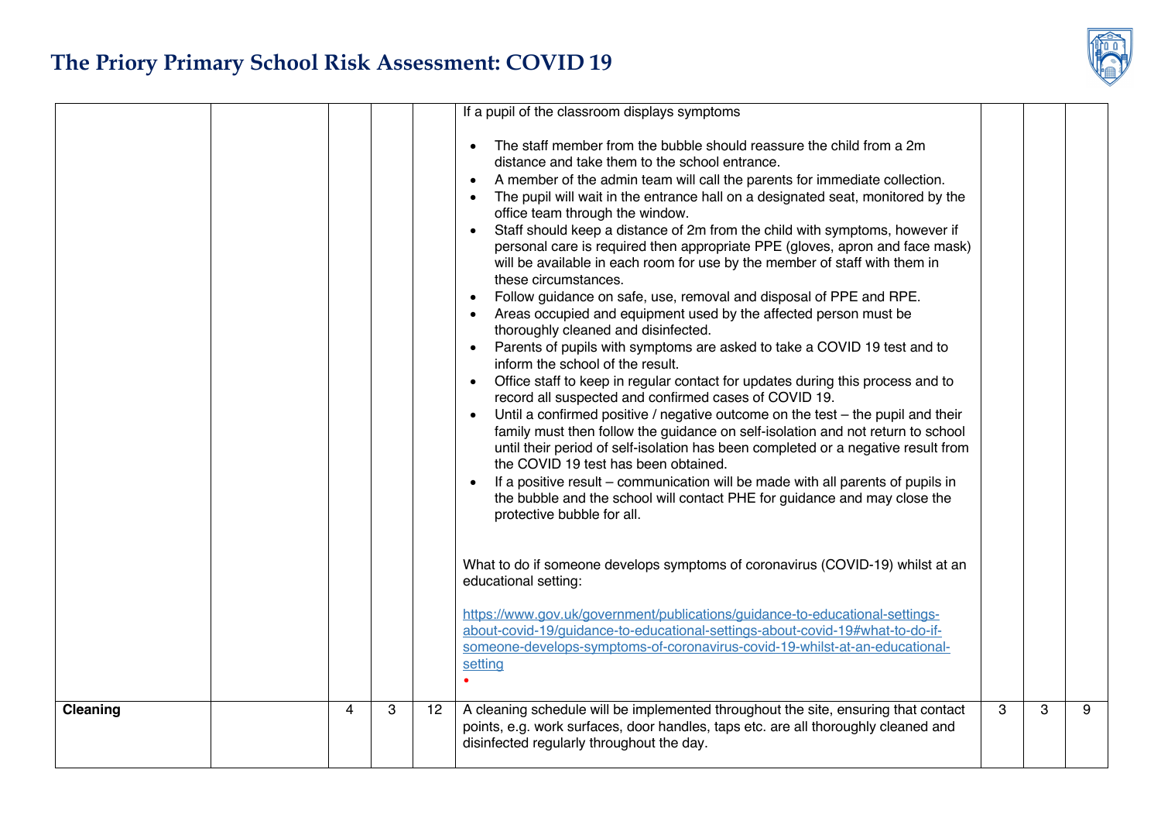|          |   |   |    | If a pupil of the classroom displays symptoms                                                                                                                                                                                                                                                                                                                                                                                                                                                                                                                                                                                                                                                                                                                                                                                                                                                                                                                                                                                                                                                                                                                                                                                                                                                                                                                                                                                                                                                                                                                                                                                                                                                                                                                                                                                                                                                                                  |   |   |   |
|----------|---|---|----|--------------------------------------------------------------------------------------------------------------------------------------------------------------------------------------------------------------------------------------------------------------------------------------------------------------------------------------------------------------------------------------------------------------------------------------------------------------------------------------------------------------------------------------------------------------------------------------------------------------------------------------------------------------------------------------------------------------------------------------------------------------------------------------------------------------------------------------------------------------------------------------------------------------------------------------------------------------------------------------------------------------------------------------------------------------------------------------------------------------------------------------------------------------------------------------------------------------------------------------------------------------------------------------------------------------------------------------------------------------------------------------------------------------------------------------------------------------------------------------------------------------------------------------------------------------------------------------------------------------------------------------------------------------------------------------------------------------------------------------------------------------------------------------------------------------------------------------------------------------------------------------------------------------------------------|---|---|---|
|          |   |   |    | The staff member from the bubble should reassure the child from a 2m<br>distance and take them to the school entrance.<br>A member of the admin team will call the parents for immediate collection.<br>The pupil will wait in the entrance hall on a designated seat, monitored by the<br>office team through the window.<br>Staff should keep a distance of 2m from the child with symptoms, however if<br>personal care is required then appropriate PPE (gloves, apron and face mask)<br>will be available in each room for use by the member of staff with them in<br>these circumstances.<br>Follow guidance on safe, use, removal and disposal of PPE and RPE.<br>Areas occupied and equipment used by the affected person must be<br>thoroughly cleaned and disinfected.<br>Parents of pupils with symptoms are asked to take a COVID 19 test and to<br>inform the school of the result.<br>Office staff to keep in regular contact for updates during this process and to<br>$\bullet$<br>record all suspected and confirmed cases of COVID 19.<br>Until a confirmed positive / negative outcome on the test - the pupil and their<br>family must then follow the guidance on self-isolation and not return to school<br>until their period of self-isolation has been completed or a negative result from<br>the COVID 19 test has been obtained.<br>If a positive result – communication will be made with all parents of pupils in<br>the bubble and the school will contact PHE for guidance and may close the<br>protective bubble for all.<br>What to do if someone develops symptoms of coronavirus (COVID-19) whilst at an<br>educational setting:<br>https://www.gov.uk/government/publications/guidance-to-educational-settings-<br>about-covid-19/quidance-to-educational-settings-about-covid-19#what-to-do-if-<br>someone-develops-symptoms-of-coronavirus-covid-19-whilst-at-an-educational-<br>setting |   |   |   |
| Cleaning | 4 | 3 | 12 | A cleaning schedule will be implemented throughout the site, ensuring that contact<br>points, e.g. work surfaces, door handles, taps etc. are all thoroughly cleaned and<br>disinfected regularly throughout the day.                                                                                                                                                                                                                                                                                                                                                                                                                                                                                                                                                                                                                                                                                                                                                                                                                                                                                                                                                                                                                                                                                                                                                                                                                                                                                                                                                                                                                                                                                                                                                                                                                                                                                                          | 3 | 3 | 9 |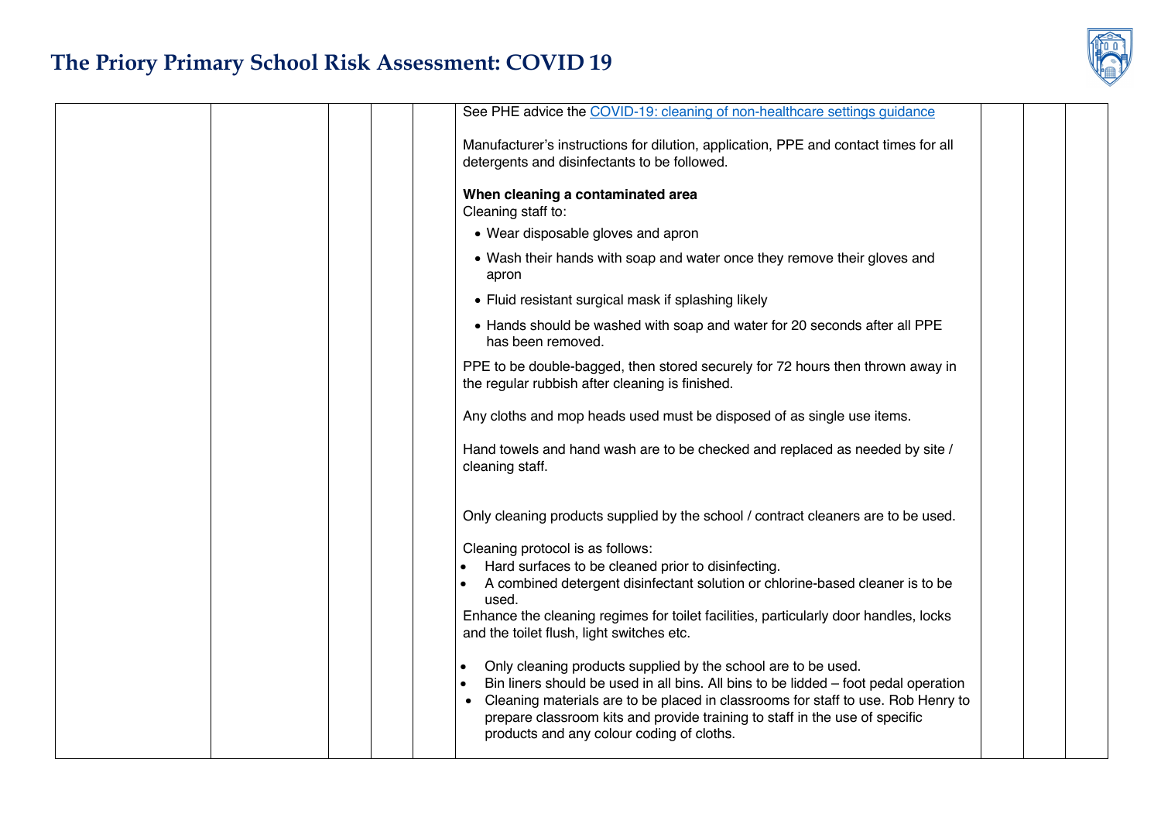

|  | See PHE advice the COVID-19: cleaning of non-healthcare settings guidance                                                                                                                                                                                                                                                                                                         |  |
|--|-----------------------------------------------------------------------------------------------------------------------------------------------------------------------------------------------------------------------------------------------------------------------------------------------------------------------------------------------------------------------------------|--|
|  | Manufacturer's instructions for dilution, application, PPE and contact times for all<br>detergents and disinfectants to be followed.                                                                                                                                                                                                                                              |  |
|  | When cleaning a contaminated area<br>Cleaning staff to:                                                                                                                                                                                                                                                                                                                           |  |
|  | • Wear disposable gloves and apron                                                                                                                                                                                                                                                                                                                                                |  |
|  | • Wash their hands with soap and water once they remove their gloves and<br>apron                                                                                                                                                                                                                                                                                                 |  |
|  | • Fluid resistant surgical mask if splashing likely                                                                                                                                                                                                                                                                                                                               |  |
|  | • Hands should be washed with soap and water for 20 seconds after all PPE<br>has been removed.                                                                                                                                                                                                                                                                                    |  |
|  | PPE to be double-bagged, then stored securely for 72 hours then thrown away in<br>the regular rubbish after cleaning is finished.                                                                                                                                                                                                                                                 |  |
|  | Any cloths and mop heads used must be disposed of as single use items.                                                                                                                                                                                                                                                                                                            |  |
|  | Hand towels and hand wash are to be checked and replaced as needed by site /<br>cleaning staff.                                                                                                                                                                                                                                                                                   |  |
|  | Only cleaning products supplied by the school / contract cleaners are to be used.                                                                                                                                                                                                                                                                                                 |  |
|  | Cleaning protocol is as follows:                                                                                                                                                                                                                                                                                                                                                  |  |
|  | Hard surfaces to be cleaned prior to disinfecting.                                                                                                                                                                                                                                                                                                                                |  |
|  | A combined detergent disinfectant solution or chlorine-based cleaner is to be<br>used.                                                                                                                                                                                                                                                                                            |  |
|  | Enhance the cleaning regimes for toilet facilities, particularly door handles, locks                                                                                                                                                                                                                                                                                              |  |
|  | and the toilet flush, light switches etc.                                                                                                                                                                                                                                                                                                                                         |  |
|  | Only cleaning products supplied by the school are to be used.<br>Bin liners should be used in all bins. All bins to be lidded - foot pedal operation<br>Cleaning materials are to be placed in classrooms for staff to use. Rob Henry to<br>$\bullet$<br>prepare classroom kits and provide training to staff in the use of specific<br>products and any colour coding of cloths. |  |
|  |                                                                                                                                                                                                                                                                                                                                                                                   |  |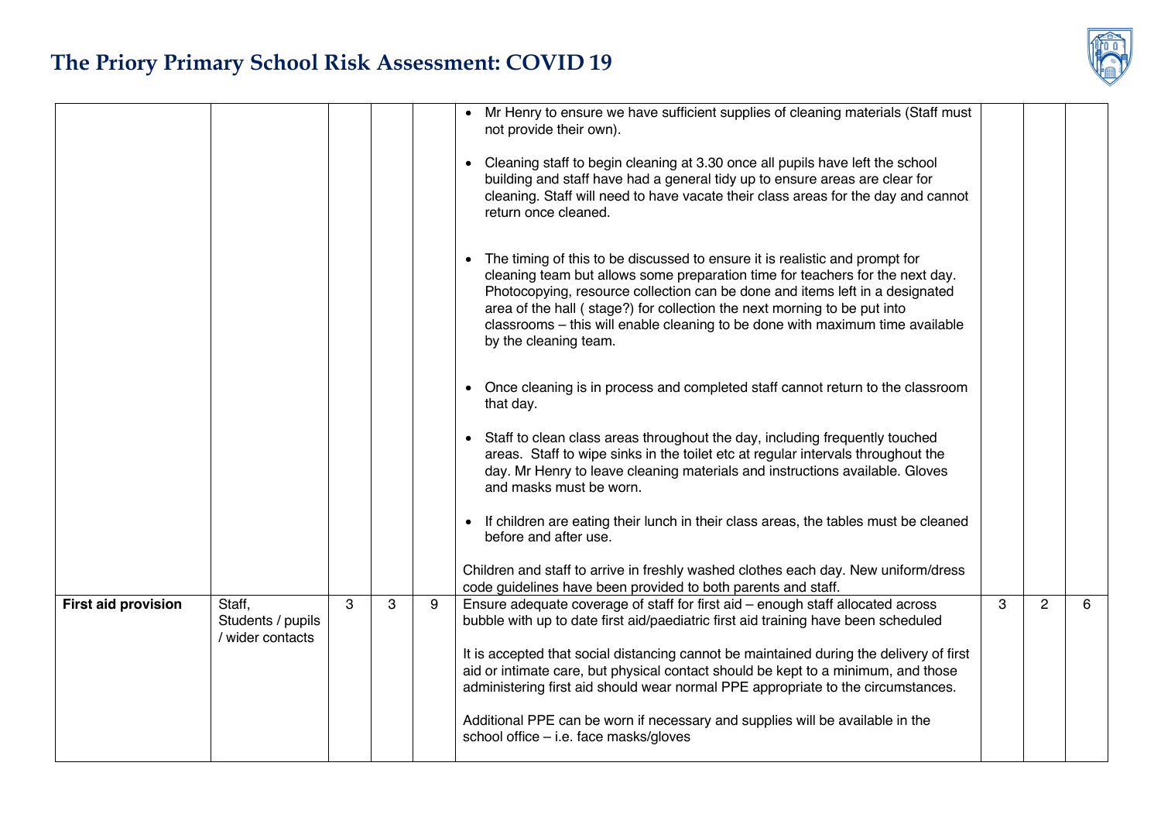

|                            |                                                 |   |   |   | Mr Henry to ensure we have sufficient supplies of cleaning materials (Staff must<br>not provide their own).<br>Cleaning staff to begin cleaning at 3.30 once all pupils have left the school<br>building and staff have had a general tidy up to ensure areas are clear for<br>cleaning. Staff will need to have vacate their class areas for the day and cannot<br>return once cleaned.<br>• The timing of this to be discussed to ensure it is realistic and prompt for<br>cleaning team but allows some preparation time for teachers for the next day.<br>Photocopying, resource collection can be done and items left in a designated<br>area of the hall (stage?) for collection the next morning to be put into<br>classrooms - this will enable cleaning to be done with maximum time available<br>by the cleaning team.<br>Once cleaning is in process and completed staff cannot return to the classroom<br>that day.<br>Staff to clean class areas throughout the day, including frequently touched<br>areas. Staff to wipe sinks in the toilet etc at regular intervals throughout the<br>day. Mr Henry to leave cleaning materials and instructions available. Gloves<br>and masks must be worn.<br>If children are eating their lunch in their class areas, the tables must be cleaned<br>before and after use.<br>Children and staff to arrive in freshly washed clothes each day. New uniform/dress<br>code guidelines have been provided to both parents and staff. |   |                |   |
|----------------------------|-------------------------------------------------|---|---|---|--------------------------------------------------------------------------------------------------------------------------------------------------------------------------------------------------------------------------------------------------------------------------------------------------------------------------------------------------------------------------------------------------------------------------------------------------------------------------------------------------------------------------------------------------------------------------------------------------------------------------------------------------------------------------------------------------------------------------------------------------------------------------------------------------------------------------------------------------------------------------------------------------------------------------------------------------------------------------------------------------------------------------------------------------------------------------------------------------------------------------------------------------------------------------------------------------------------------------------------------------------------------------------------------------------------------------------------------------------------------------------------------------------------------------------------------------------------------------------------|---|----------------|---|
| <b>First aid provision</b> | Staff,<br>Students / pupils<br>/ wider contacts | 3 | 3 | 9 | Ensure adequate coverage of staff for first aid - enough staff allocated across<br>bubble with up to date first aid/paediatric first aid training have been scheduled<br>It is accepted that social distancing cannot be maintained during the delivery of first<br>aid or intimate care, but physical contact should be kept to a minimum, and those<br>administering first aid should wear normal PPE appropriate to the circumstances.<br>Additional PPE can be worn if necessary and supplies will be available in the<br>school office - i.e. face masks/gloves                                                                                                                                                                                                                                                                                                                                                                                                                                                                                                                                                                                                                                                                                                                                                                                                                                                                                                                 | 3 | $\overline{2}$ | 6 |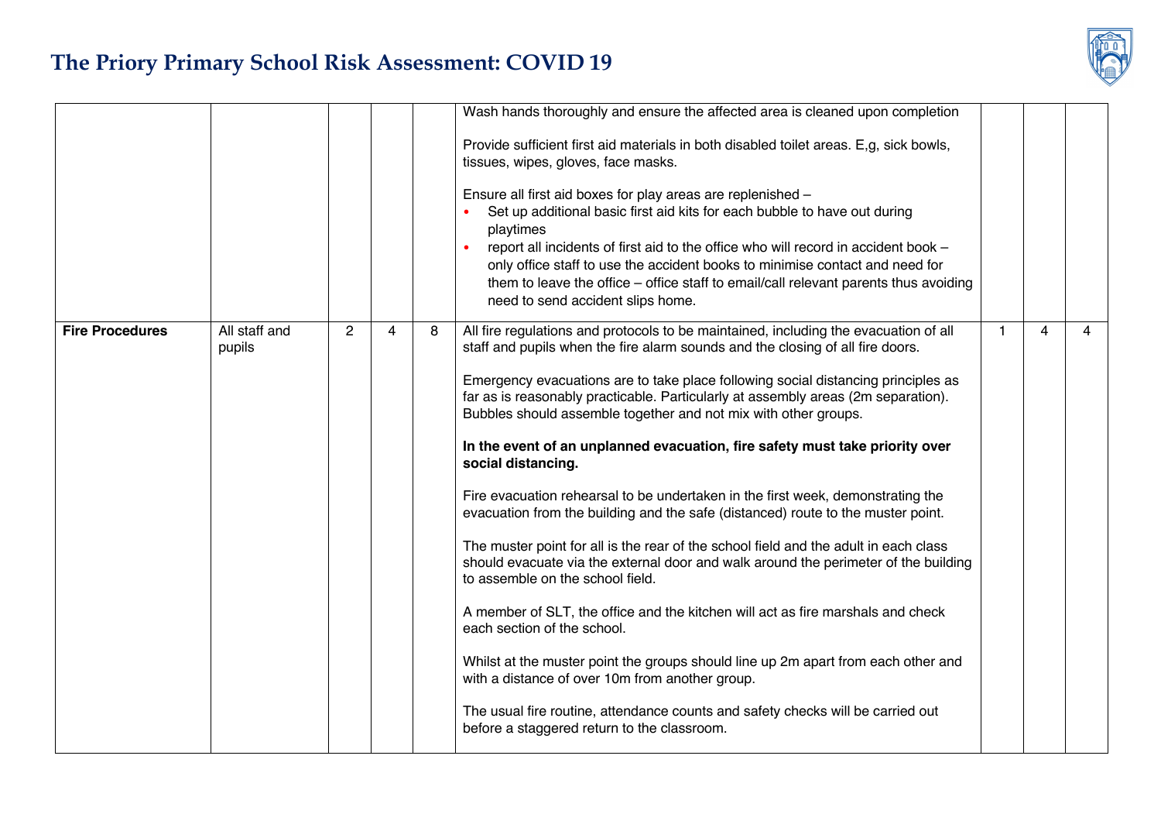

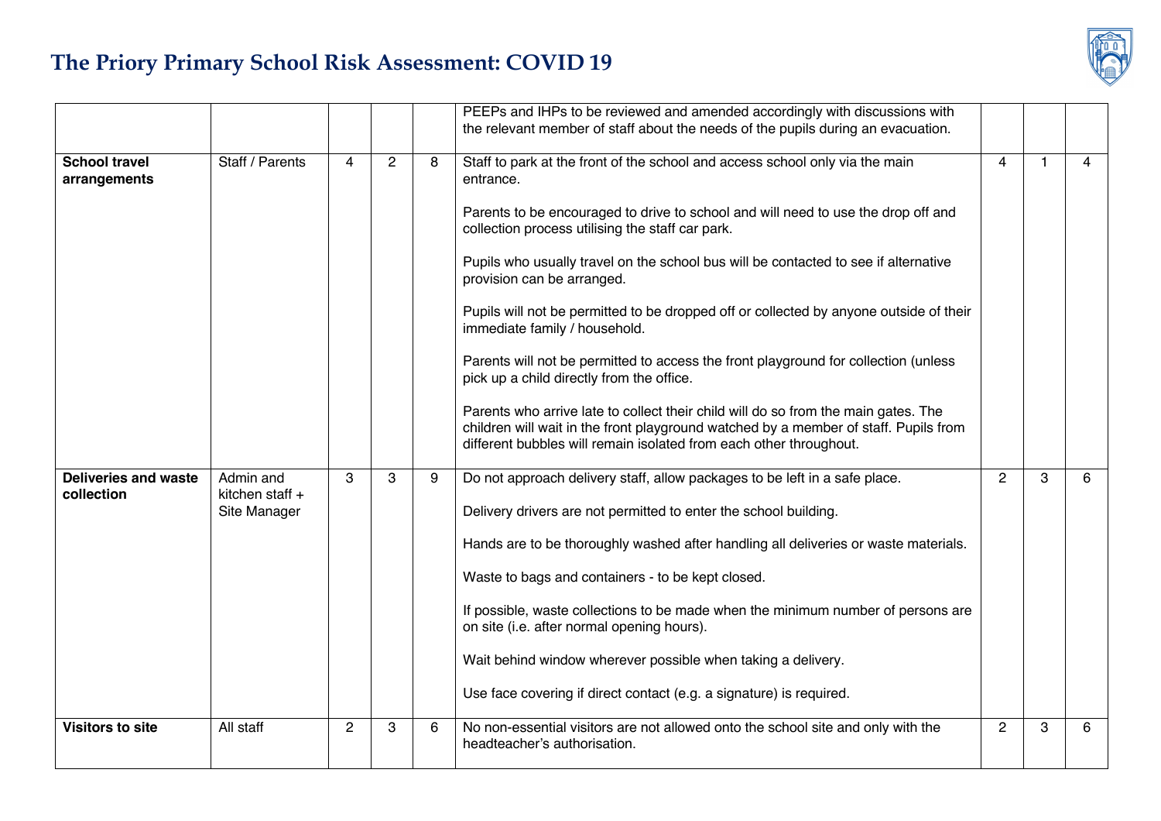|                                           |                                              |                |                |   | PEEPs and IHPs to be reviewed and amended accordingly with discussions with<br>the relevant member of staff about the needs of the pupils during an evacuation.                                                                                                                                                                                                                                                                                                                                                                                                                                                                                                                                                                                                                                      |   |   |   |
|-------------------------------------------|----------------------------------------------|----------------|----------------|---|------------------------------------------------------------------------------------------------------------------------------------------------------------------------------------------------------------------------------------------------------------------------------------------------------------------------------------------------------------------------------------------------------------------------------------------------------------------------------------------------------------------------------------------------------------------------------------------------------------------------------------------------------------------------------------------------------------------------------------------------------------------------------------------------------|---|---|---|
|                                           |                                              |                |                |   |                                                                                                                                                                                                                                                                                                                                                                                                                                                                                                                                                                                                                                                                                                                                                                                                      |   |   |   |
| <b>School travel</b><br>arrangements      | Staff / Parents                              | 4              | $\overline{2}$ | 8 | Staff to park at the front of the school and access school only via the main<br>entrance.<br>Parents to be encouraged to drive to school and will need to use the drop off and<br>collection process utilising the staff car park.<br>Pupils who usually travel on the school bus will be contacted to see if alternative<br>provision can be arranged.<br>Pupils will not be permitted to be dropped off or collected by anyone outside of their<br>immediate family / household.<br>Parents will not be permitted to access the front playground for collection (unless<br>pick up a child directly from the office.<br>Parents who arrive late to collect their child will do so from the main gates. The<br>children will wait in the front playground watched by a member of staff. Pupils from |   | 1 | 4 |
|                                           |                                              |                |                |   | different bubbles will remain isolated from each other throughout.                                                                                                                                                                                                                                                                                                                                                                                                                                                                                                                                                                                                                                                                                                                                   |   |   |   |
| <b>Deliveries and waste</b><br>collection | Admin and<br>kitchen staff +<br>Site Manager | 3              | 3              | 9 | Do not approach delivery staff, allow packages to be left in a safe place.<br>Delivery drivers are not permitted to enter the school building.<br>Hands are to be thoroughly washed after handling all deliveries or waste materials.<br>Waste to bags and containers - to be kept closed.<br>If possible, waste collections to be made when the minimum number of persons are<br>on site (i.e. after normal opening hours).<br>Wait behind window wherever possible when taking a delivery.<br>Use face covering if direct contact (e.g. a signature) is required.                                                                                                                                                                                                                                  |   | 3 | 6 |
| <b>Visitors to site</b>                   | All staff                                    | $\overline{c}$ | 3              | 6 | No non-essential visitors are not allowed onto the school site and only with the<br>headteacher's authorisation.                                                                                                                                                                                                                                                                                                                                                                                                                                                                                                                                                                                                                                                                                     | 2 | 3 | 6 |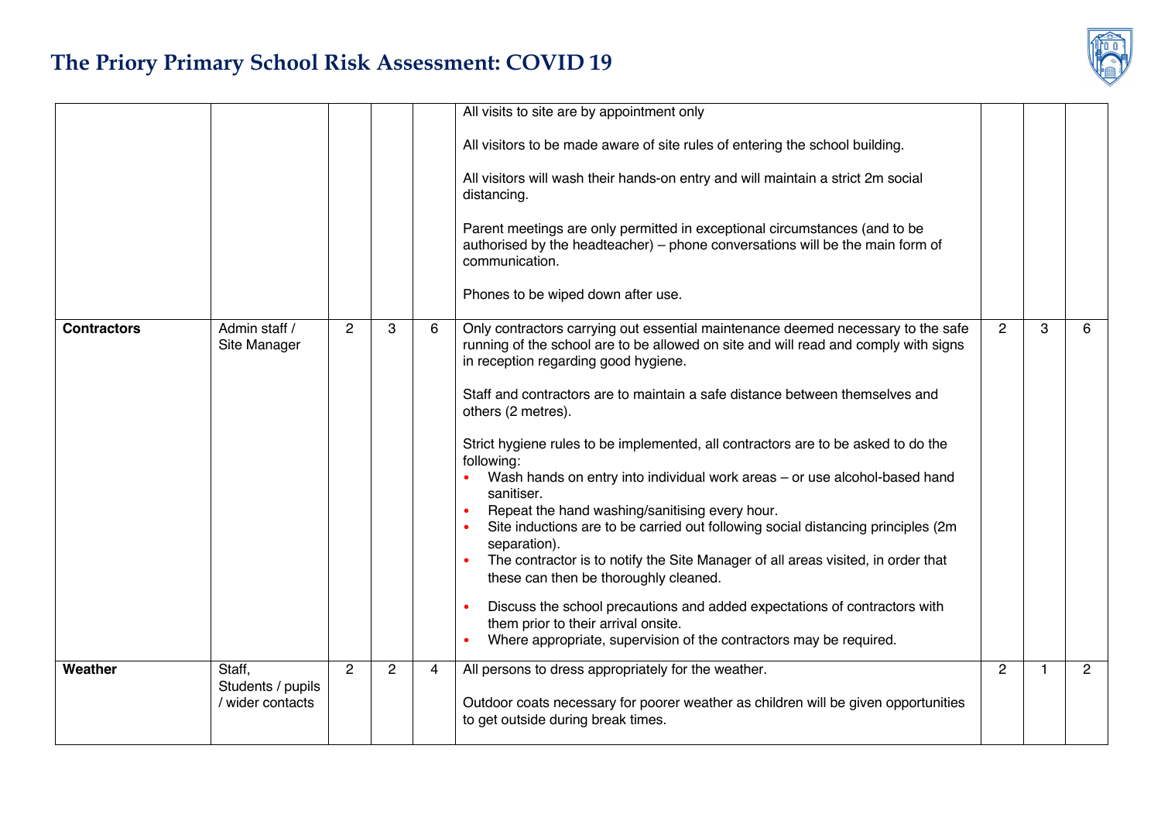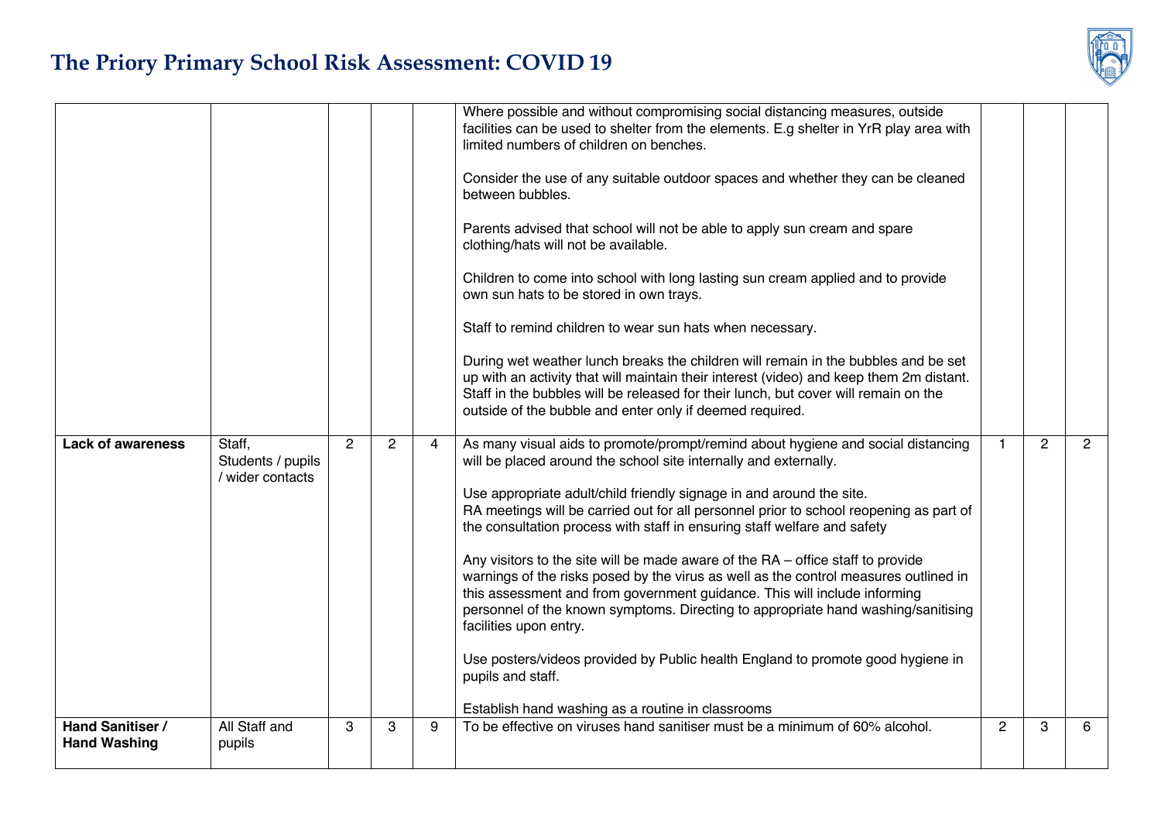|                          |                             |                |                |                | Where possible and without compromising social distancing measures, outside<br>facilities can be used to shelter from the elements. E.g shelter in YrR play area with<br>limited numbers of children on benches.                                                                                                                                                      |   |                |                |
|--------------------------|-----------------------------|----------------|----------------|----------------|-----------------------------------------------------------------------------------------------------------------------------------------------------------------------------------------------------------------------------------------------------------------------------------------------------------------------------------------------------------------------|---|----------------|----------------|
|                          |                             |                |                |                | Consider the use of any suitable outdoor spaces and whether they can be cleaned<br>between bubbles.                                                                                                                                                                                                                                                                   |   |                |                |
|                          |                             |                |                |                | Parents advised that school will not be able to apply sun cream and spare<br>clothing/hats will not be available.                                                                                                                                                                                                                                                     |   |                |                |
|                          |                             |                |                |                | Children to come into school with long lasting sun cream applied and to provide<br>own sun hats to be stored in own trays.                                                                                                                                                                                                                                            |   |                |                |
|                          |                             |                |                |                | Staff to remind children to wear sun hats when necessary.                                                                                                                                                                                                                                                                                                             |   |                |                |
|                          |                             |                |                |                | During wet weather lunch breaks the children will remain in the bubbles and be set<br>up with an activity that will maintain their interest (video) and keep them 2m distant.<br>Staff in the bubbles will be released for their lunch, but cover will remain on the<br>outside of the bubble and enter only if deemed required.                                      |   |                |                |
| <b>Lack of awareness</b> | Staff,<br>Students / pupils | $\overline{2}$ | $\overline{2}$ | $\overline{4}$ | As many visual aids to promote/prompt/remind about hygiene and social distancing<br>will be placed around the school site internally and externally.                                                                                                                                                                                                                  | 1 | $\overline{2}$ | $\overline{2}$ |
|                          | / wider contacts            |                |                |                | Use appropriate adult/child friendly signage in and around the site.<br>RA meetings will be carried out for all personnel prior to school reopening as part of<br>the consultation process with staff in ensuring staff welfare and safety                                                                                                                            |   |                |                |
|                          |                             |                |                |                | Any visitors to the site will be made aware of the $RA$ – office staff to provide<br>warnings of the risks posed by the virus as well as the control measures outlined in<br>this assessment and from government guidance. This will include informing<br>personnel of the known symptoms. Directing to appropriate hand washing/sanitising<br>facilities upon entry. |   |                |                |
|                          |                             |                |                |                | Use posters/videos provided by Public health England to promote good hygiene in<br>pupils and staff.                                                                                                                                                                                                                                                                  |   |                |                |
|                          |                             |                |                |                | Establish hand washing as a routine in classrooms                                                                                                                                                                                                                                                                                                                     |   |                |                |
|                          |                             |                |                |                |                                                                                                                                                                                                                                                                                                                                                                       |   |                |                |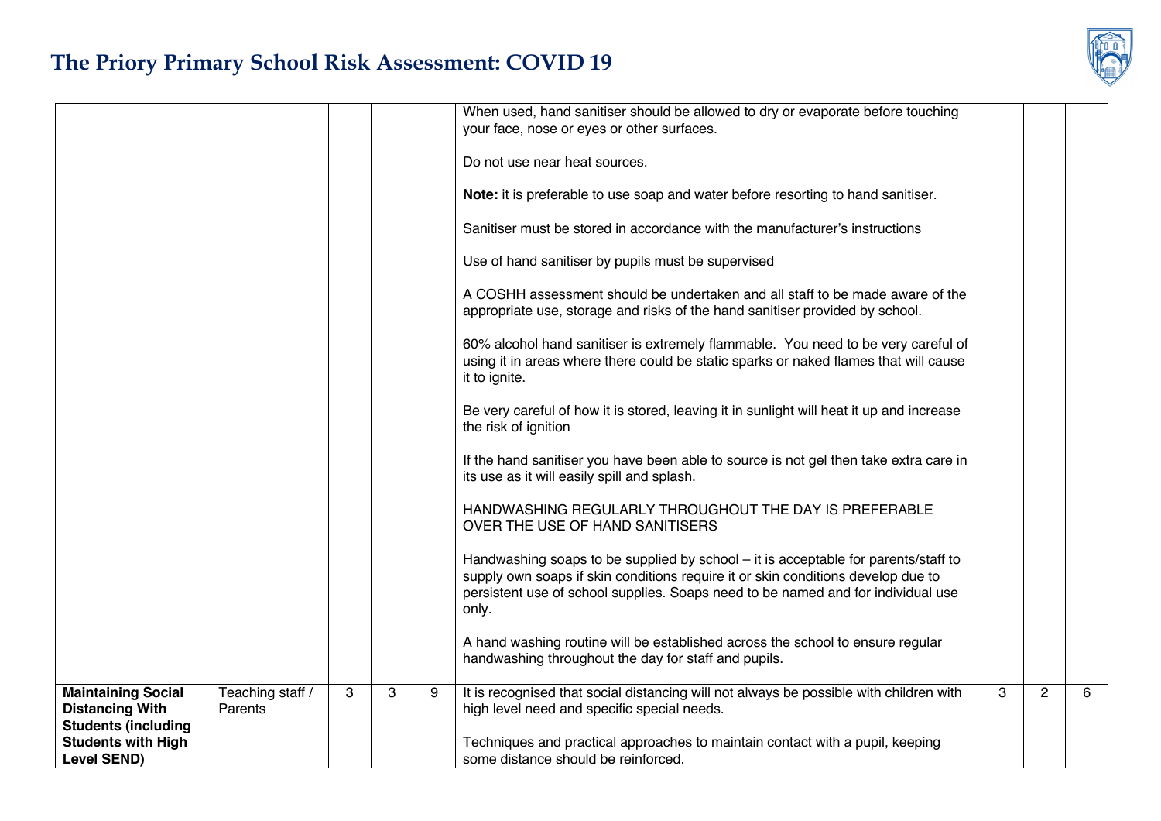|                                                                                   |                             |   |   |   | When used, hand sanitiser should be allowed to dry or evaporate before touching<br>your face, nose or eyes or other surfaces.                                                                                                                                       |   |                |   |
|-----------------------------------------------------------------------------------|-----------------------------|---|---|---|---------------------------------------------------------------------------------------------------------------------------------------------------------------------------------------------------------------------------------------------------------------------|---|----------------|---|
|                                                                                   |                             |   |   |   | Do not use near heat sources.                                                                                                                                                                                                                                       |   |                |   |
|                                                                                   |                             |   |   |   | Note: it is preferable to use soap and water before resorting to hand sanitiser.                                                                                                                                                                                    |   |                |   |
|                                                                                   |                             |   |   |   | Sanitiser must be stored in accordance with the manufacturer's instructions                                                                                                                                                                                         |   |                |   |
|                                                                                   |                             |   |   |   | Use of hand sanitiser by pupils must be supervised                                                                                                                                                                                                                  |   |                |   |
|                                                                                   |                             |   |   |   | A COSHH assessment should be undertaken and all staff to be made aware of the<br>appropriate use, storage and risks of the hand sanitiser provided by school.                                                                                                       |   |                |   |
|                                                                                   |                             |   |   |   | 60% alcohol hand sanitiser is extremely flammable. You need to be very careful of<br>using it in areas where there could be static sparks or naked flames that will cause<br>it to ignite.                                                                          |   |                |   |
|                                                                                   |                             |   |   |   | Be very careful of how it is stored, leaving it in sunlight will heat it up and increase<br>the risk of ignition                                                                                                                                                    |   |                |   |
|                                                                                   |                             |   |   |   | If the hand sanitiser you have been able to source is not gel then take extra care in<br>its use as it will easily spill and splash.                                                                                                                                |   |                |   |
|                                                                                   |                             |   |   |   | HANDWASHING REGULARLY THROUGHOUT THE DAY IS PREFERABLE<br>OVER THE USE OF HAND SANITISERS                                                                                                                                                                           |   |                |   |
|                                                                                   |                             |   |   |   | Handwashing soaps to be supplied by school - it is acceptable for parents/staff to<br>supply own soaps if skin conditions require it or skin conditions develop due to<br>persistent use of school supplies. Soaps need to be named and for individual use<br>only. |   |                |   |
|                                                                                   |                             |   |   |   | A hand washing routine will be established across the school to ensure regular<br>handwashing throughout the day for staff and pupils.                                                                                                                              |   |                |   |
| <b>Maintaining Social</b><br><b>Distancing With</b><br><b>Students (including</b> | Teaching staff /<br>Parents | 3 | 3 | 9 | It is recognised that social distancing will not always be possible with children with<br>high level need and specific special needs.                                                                                                                               | 3 | $\overline{2}$ | 6 |
| <b>Students with High</b><br><b>Level SEND)</b>                                   |                             |   |   |   | Techniques and practical approaches to maintain contact with a pupil, keeping<br>some distance should be reinforced.                                                                                                                                                |   |                |   |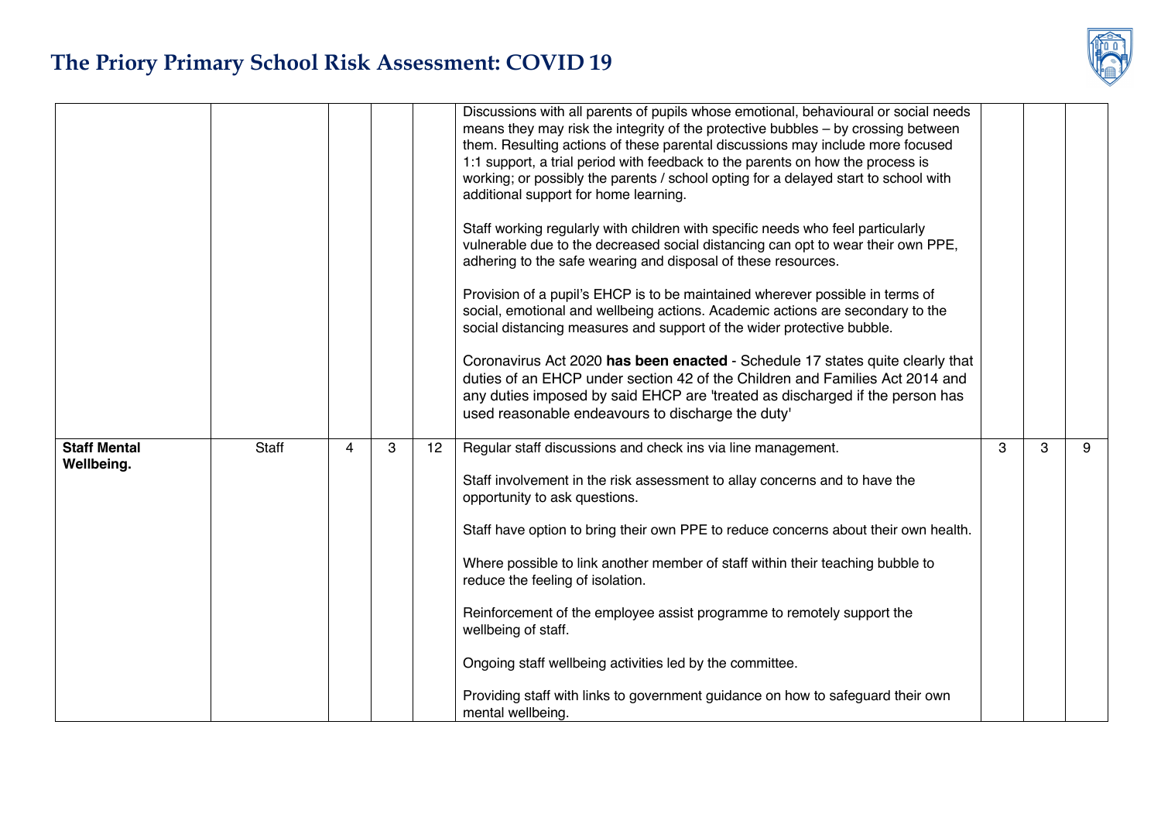|                                   |       |   |   |    | Discussions with all parents of pupils whose emotional, behavioural or social needs<br>means they may risk the integrity of the protective bubbles - by crossing between<br>them. Resulting actions of these parental discussions may include more focused<br>1:1 support, a trial period with feedback to the parents on how the process is<br>working; or possibly the parents / school opting for a delayed start to school with<br>additional support for home learning.<br>Staff working regularly with children with specific needs who feel particularly<br>vulnerable due to the decreased social distancing can opt to wear their own PPE,<br>adhering to the safe wearing and disposal of these resources.<br>Provision of a pupil's EHCP is to be maintained wherever possible in terms of<br>social, emotional and wellbeing actions. Academic actions are secondary to the<br>social distancing measures and support of the wider protective bubble.<br>Coronavirus Act 2020 has been enacted - Schedule 17 states quite clearly that<br>duties of an EHCP under section 42 of the Children and Families Act 2014 and<br>any duties imposed by said EHCP are 'treated as discharged if the person has<br>used reasonable endeavours to discharge the duty' |   |   |   |
|-----------------------------------|-------|---|---|----|-------------------------------------------------------------------------------------------------------------------------------------------------------------------------------------------------------------------------------------------------------------------------------------------------------------------------------------------------------------------------------------------------------------------------------------------------------------------------------------------------------------------------------------------------------------------------------------------------------------------------------------------------------------------------------------------------------------------------------------------------------------------------------------------------------------------------------------------------------------------------------------------------------------------------------------------------------------------------------------------------------------------------------------------------------------------------------------------------------------------------------------------------------------------------------------------------------------------------------------------------------------------------|---|---|---|
| <b>Staff Mental</b><br>Wellbeing. | Staff | 4 | 3 | 12 | Regular staff discussions and check ins via line management.<br>Staff involvement in the risk assessment to allay concerns and to have the<br>opportunity to ask questions.<br>Staff have option to bring their own PPE to reduce concerns about their own health.<br>Where possible to link another member of staff within their teaching bubble to<br>reduce the feeling of isolation.<br>Reinforcement of the employee assist programme to remotely support the<br>wellbeing of staff.<br>Ongoing staff wellbeing activities led by the committee.<br>Providing staff with links to government guidance on how to safeguard their own<br>mental wellbeing.                                                                                                                                                                                                                                                                                                                                                                                                                                                                                                                                                                                                           | 3 | 3 | 9 |